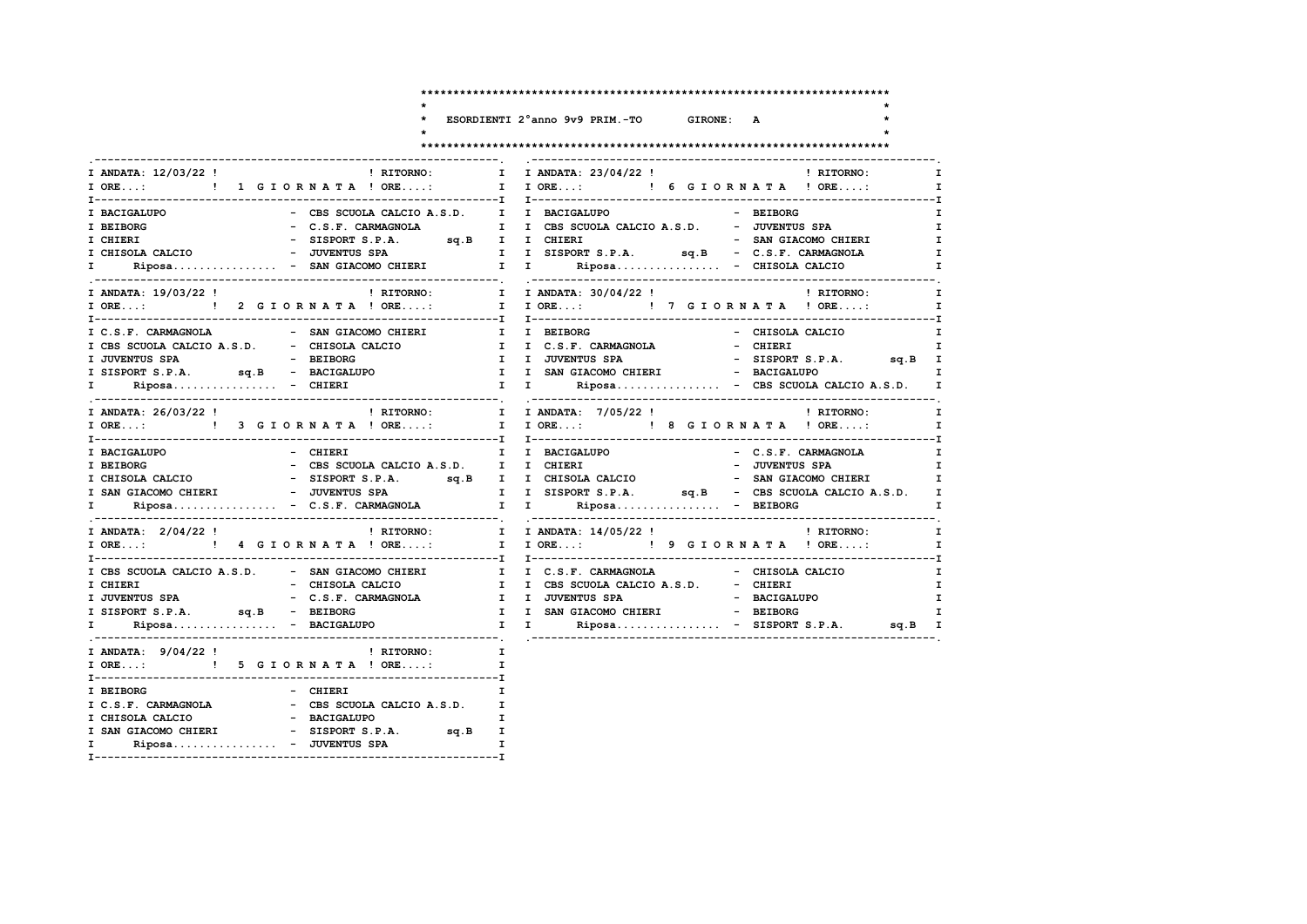$\ddot{\phantom{0}}$  $\star$  $\star$ 

 $\mathbf{I}$  $\mathbf{I}$  $\mathbf{I}$  $\mathbf{I}$  $\mathbf{T}$ 

### ESORDIENTI 2°anno 9v9 PRIM.-TO GIRONE: A

 $\mathbf{r}$ 

 $\star$ 

### 

| I ANDATA: 12/03/22 !<br><b>Exercise Exercise Exercise Exercise Exercise Exercise Exercise Exercise Exercise Exercise Exercise E</b> | I ANDATA: 23/04/22 ! PHITORNO:<br>$\mathbf{I}$                                                                                                            |
|-------------------------------------------------------------------------------------------------------------------------------------|-----------------------------------------------------------------------------------------------------------------------------------------------------------|
| I ORE: ! 1 G I O R N A T A ! ORE:                                                                                                   | I IORE: ! 6 GIORNATA ! ORE:                                                                                                                               |
| I BACIGALUPO                                                                                                                        | - CBS SCUOLA CALCIO A.S.D. I I BACIGALUPO<br>- BEIBORG                                                                                                    |
| I BEIBORG                                                                                                                           | - C.S.F. CARMAGNOLA I I CBS SCUOLA CALCIO A.S.D. - JUVENTUS SPA                                                                                           |
| I CHIERI                                                                                                                            | $\mathbf{I}$                                                                                                                                              |
| I CHISOLA CALCIO                                                                                                                    |                                                                                                                                                           |
| $\mathbf{I}$ and $\mathbf{I}$                                                                                                       | Riposa - SAN GIACOMO CHIERI I I Riposa - CHISOLA CALCIO                                                                                                   |
| I ANDATA: 19/03/22 ! PHITORNO: I                                                                                                    | I ANDATA: 30/04/22 !<br>! RITORNO:<br>$\mathbf{I}$ and $\mathbf{I}$                                                                                       |
|                                                                                                                                     | I ORE:  1 I ORE:  1 I ORE:  1 I ORE:  1 I ORE:  1 I ORE:  1 I ORE:<br>I                                                                                   |
| I C.S.F. CARMAGNOLA - SAN GIACOMO CHIERI I I BEIBORG                                                                                | - CHISOLA CALCIO                                                                                                                                          |
| I CBS SCUOLA CALCIO A.S.D. - CHISOLA CALCIO I I C.S.F. CARMAGNOLA                                                                   | - CHIERI<br>$\mathbf{I}$                                                                                                                                  |
| I JUVENTUS SPA<br>- BEIBORG                                                                                                         | I I JUVENTUS SPA<br>- SISPORT S.P.A. sq.B I                                                                                                               |
|                                                                                                                                     | I SISPORT S.P.A. Sq.B - BACIGALUPO 1 I I SAN GIACOMO CHIERI - BACIGALUPO                                                                                  |
| I Riposa - CHIERI                                                                                                                   | I I Riposa - CBS SCUOLA CALCIO A.S.D. I                                                                                                                   |
| I ANDATA: 26/03/22 !                                                                                                                | ! RITORNO: T I ANDATA: 7/05/22 !<br>! RITORNO: I                                                                                                          |
|                                                                                                                                     | I ORE:  1 I ORE: I CORNATA ! ORE: I CORE: I & GIORNATA ! ORE: I                                                                                           |
| - CHIERI<br>I BACIGALUPO                                                                                                            | - C.S.F. CARMAGNOLA<br>$\mathbf{I}$<br>I I BACIGALUPO                                                                                                     |
| - CBS SCUOLA CALCIO A.S.D. I I CHIERI<br>I BEIBORG                                                                                  | - JUVENTUS SPA                                                                                                                                            |
| - CBS SCOULE CHECK AND THE TREASURE OF SISPORT S.P.A. sq.B I I CHISOLA CALCIO<br>I CHISOLA CALCIO                                   | - SAN GIACOMO CHIERI<br>$\mathbf{I}$                                                                                                                      |
|                                                                                                                                     |                                                                                                                                                           |
|                                                                                                                                     | I SAN GIACOMO CHIERI – JUVENTUS SPANARONOLA I I SISPORT S.P.A. sq.B – CBS SCUOLA CALCIO A.S.D. I Riposa – C.S.F. CARMAGNOLA I I Riposa – BEIBORG I        |
|                                                                                                                                     | I ANDATA: 2/04/22 !                                   RITORNO:         I ANDATA: 14/05/22 !                     RITORNO:<br>$\mathbf{I}$ and $\mathbf{I}$ |
|                                                                                                                                     | I ORE: 1 ORE: I JORE: 1 ORE: 1 ORE: 9 GIORNATA ! ORE:                                                                                                     |
| I CBS SCUOLA CALCIO A.S.D. - SAN GIACOMO CHIERI                                                                                     |                                                                                                                                                           |
| I CHIERI<br>- CHISOLA CALCIO                                                                                                        | I I CBS SCUOLA CALCIO A.S.D. - CHIERI                                                                                                                     |
| I JUVENTUS SPA<br>- C.S.F. CARMAGNOLA                                                                                               | I I JUVENTUS SPA<br>- BACIGALUPO                                                                                                                          |
| I SISPORT S.P.A. sq.B - BEIBORG                                                                                                     | I I SAN GIACOMO CHIERI - BEIBORG<br>$\mathbf{I}$                                                                                                          |
|                                                                                                                                     |                                                                                                                                                           |
| I ANDATA: 9/04/22 !<br>! RITORNO:                                                                                                   | $\mathbf{I}$                                                                                                                                              |
| I ORE: ! 5 G I OR N A T A ! ORE:                                                                                                    |                                                                                                                                                           |
| - CHIERI<br>I BEIBORG                                                                                                               |                                                                                                                                                           |
| I C.S.F. CARMAGNOLA - CBS SCUOLA CALCIO A.S.D. I                                                                                    |                                                                                                                                                           |
| - BACIGALUPO<br>I CHISOLA CALCIO                                                                                                    |                                                                                                                                                           |
| - SISPORT S.P.A. sq.B I<br>I SAN GIACOMO CHIERI                                                                                     |                                                                                                                                                           |
| I Riposa - JUVENTUS SPA                                                                                                             |                                                                                                                                                           |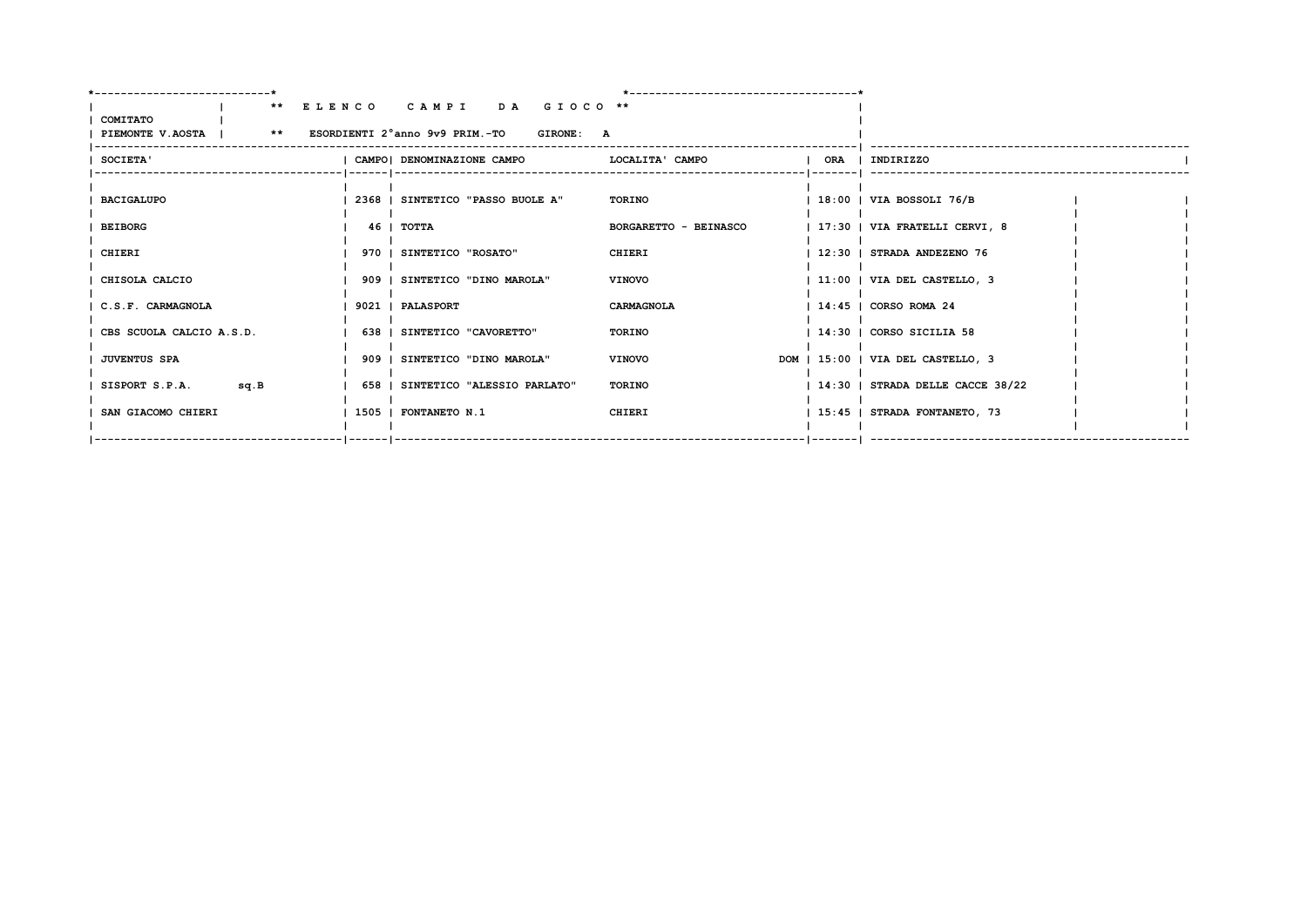|                                                                  | ** ELENCO CAMPI DA GIOCO **       |                       |                                    |
|------------------------------------------------------------------|-----------------------------------|-----------------------|------------------------------------|
| COMITATO<br>PIEMONTE V.AOSTA   ** ESORDIENTI 2°anno 9v9 PRIM.-TO | <b>GIRONE: A</b>                  |                       |                                    |
| <b>SOCIETA'</b>                                                  | CAMPO  DENOMINAZIONE CAMPO        | LOCALITA' CAMPO       | ORA   INDIRIZZO                    |
| <b>BACIGALUPO</b>                                                | 2368   SINTETICO "PASSO BUOLE A"  | <b>TORINO</b>         | 18:00   VIA BOSSOLI 76/B           |
| <b>BEIBORG</b>                                                   | 46 I TOTTA                        | BORGARETTO - BEINASCO | 17:30   VIA FRATELLI CERVI, 8      |
| CHIERI                                                           | 970   SINTETICO "ROSATO"          | CHIERI                | 12:30   STRADA ANDEZENO 76         |
| CHISOLA CALCIO                                                   | 909   SINTETICO "DINO MAROLA"     | <b>VINOVO</b>         | 11:00   VIA DEL CASTELLO, 3        |
| I C.S.F. CARMAGNOLA                                              | 9021   PALASPORT                  | CARMAGNOLA            | $1\,14:45$   CORSO ROMA 24         |
| CBS SCUOLA CALCIO A.S.D.                                         | 638   SINTETICO "CAVORETTO"       | TORINO                | $114:30$   CORSO SICILIA 58        |
| <b>JUVENTUS SPA</b>                                              | 909   SINTETICO "DINO MAROLA"     | <b>VINOVO</b>         | DOM   15:00   VIA DEL CASTELLO, 3  |
| SISPORT S.P.A.<br>sq.B                                           | 658   SINTETICO "ALESSIO PARLATO" | TORINO                | $ 14:30 $ STRADA DELLE CACCE 38/22 |
| SAN GIACOMO CHIERI                                               | 1505   FONTANETO N.1              | CHIERI                | 15:45   STRADA FONTANETO, 73       |
|                                                                  |                                   |                       |                                    |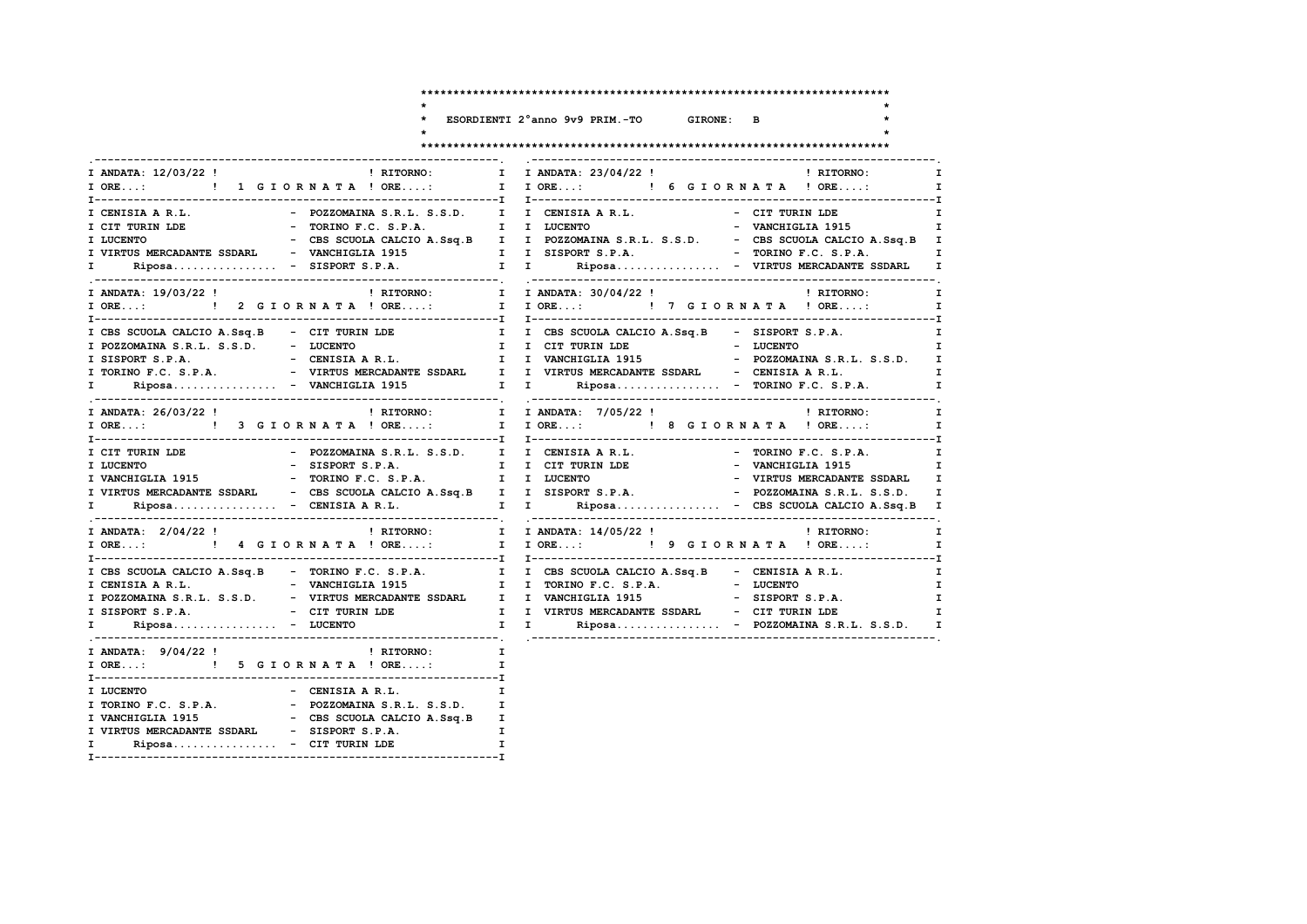|                                                                                                                                                                                                                                                                                                                                                                                                                                                                                                                    | ESORDIENTI 2°anno 9v9 PRIM.-TO GIRONE: B                                                                                                                                                                                             |
|--------------------------------------------------------------------------------------------------------------------------------------------------------------------------------------------------------------------------------------------------------------------------------------------------------------------------------------------------------------------------------------------------------------------------------------------------------------------------------------------------------------------|--------------------------------------------------------------------------------------------------------------------------------------------------------------------------------------------------------------------------------------|
|                                                                                                                                                                                                                                                                                                                                                                                                                                                                                                                    |                                                                                                                                                                                                                                      |
| I ANDATA: 12/03/22 !<br>$\blacksquare$ $\blacksquare$ $\blacksquare$ $\blacksquare$ $\blacksquare$ $\blacksquare$ $\blacksquare$ $\blacksquare$ $\blacksquare$ $\blacksquare$ $\blacksquare$ $\blacksquare$ $\blacksquare$ $\blacksquare$ $\blacksquare$ $\blacksquare$ $\blacksquare$ $\blacksquare$ $\blacksquare$ $\blacksquare$ $\blacksquare$ $\blacksquare$ $\blacksquare$ $\blacksquare$ $\blacksquare$ $\blacksquare$ $\blacksquare$ $\blacksquare$ $\blacksquare$ $\blacksquare$ $\blacksquare$ $\blacks$ | I I ANDATA: 23/04/22 !<br>! RITORNO:                                                                                                                                                                                                 |
| I ORE: ! 1 GIORNATA ! ORE:                                                                                                                                                                                                                                                                                                                                                                                                                                                                                         | I IORE: ! 6 GIORNATA ! ORE:                                                                                                                                                                                                          |
| I CENISIA A R.L.                                                                                                                                                                                                                                                                                                                                                                                                                                                                                                   | - POZZOMAINA S.R.L. S.S.D. I I CENISIA A R.L.<br>- CIT TURIN LDE                                                                                                                                                                     |
| I CIT TURIN LDE                                                                                                                                                                                                                                                                                                                                                                                                                                                                                                    |                                                                                                                                                                                                                                      |
| I LUCENTO                                                                                                                                                                                                                                                                                                                                                                                                                                                                                                          |                                                                                                                                                                                                                                      |
|                                                                                                                                                                                                                                                                                                                                                                                                                                                                                                                    | I VIRTUS MERCADANTE SSDARL - VANCHIGLIA 1915 1 I SISPORT S.P.A. - - TORINO F.C. S.P.A.                                                                                                                                               |
|                                                                                                                                                                                                                                                                                                                                                                                                                                                                                                                    |                                                                                                                                                                                                                                      |
| I ANDATA: 19/03/22 !<br>! RITORNO: I                                                                                                                                                                                                                                                                                                                                                                                                                                                                               | I ANDATA: 30/04/22 !<br>! RITORNO:                                                                                                                                                                                                   |
| $I$ ORE:                                                                                                                                                                                                                                                                                                                                                                                                                                                                                                           | ! 2 GIORNATA ! ORE: I I ORE: ! 7 GIORNATA ! ORE:                                                                                                                                                                                     |
| I CBS SCUOLA CALCIO A.Ssq.B - CIT TURIN LDE                                                                                                                                                                                                                                                                                                                                                                                                                                                                        | I I CBS SCUOLA CALCIO A.Ssq.B - SISPORT S.P.A.                                                                                                                                                                                       |
| I POZZOMAINA S.R.L. S.S.D. - LUCENTO                                                                                                                                                                                                                                                                                                                                                                                                                                                                               | I I CIT TURIN LDE - LUCENTO                                                                                                                                                                                                          |
|                                                                                                                                                                                                                                                                                                                                                                                                                                                                                                                    | - CENISIA AR.L.       I I VANCHIGLIA 1915     - POZZOMAINA S.R.L. S.S.D.                                                                                                                                                             |
|                                                                                                                                                                                                                                                                                                                                                                                                                                                                                                                    |                                                                                                                                                                                                                                      |
| $\mathbf{I}$ and $\mathbf{I}$                                                                                                                                                                                                                                                                                                                                                                                                                                                                                      | Riposa - VANCHIGLIA 1915 1 I Riposa - TORINO F.C. S.P.A.                                                                                                                                                                             |
| ! RITORNO:<br>I ANDATA: 26/03/22 !                                                                                                                                                                                                                                                                                                                                                                                                                                                                                 | I I ANDATA: 7/05/22 !<br>! RITORNO:                                                                                                                                                                                                  |
|                                                                                                                                                                                                                                                                                                                                                                                                                                                                                                                    |                                                                                                                                                                                                                                      |
| I CIT TURIN LDE<br>- POZZOMAINA S.R.L. S.S.D.                                                                                                                                                                                                                                                                                                                                                                                                                                                                      | I I CENISIA A R.L.<br>- TORINO F.C. S.P.A.                                                                                                                                                                                           |
| I LUCENTO<br>- SISPORT S.P.A.                                                                                                                                                                                                                                                                                                                                                                                                                                                                                      | - VANCHIGLIA 1915<br>I I CIT TURIN LDE                                                                                                                                                                                               |
| I VANCHIGLIA 1915 - TORINO F.C. S.P.A. I I LUCENTO                                                                                                                                                                                                                                                                                                                                                                                                                                                                 | - VIRTUS MERCADANTE SSDARL                                                                                                                                                                                                           |
| I VIRTUS MERCADANTE SSDARL - CBS SCUOLA CALCIO A.Ssq.B I I SISPORT S.P.A.                                                                                                                                                                                                                                                                                                                                                                                                                                          | - POZZOMAINA S.R.L. S.S.D.                                                                                                                                                                                                           |
|                                                                                                                                                                                                                                                                                                                                                                                                                                                                                                                    | I Riposa - CENISIA A R.L. I I Riposa - CBS SCUOLA CALCIO A.Ssq.B I                                                                                                                                                                   |
| I ANDATA: 2/04/22 !<br>! RITORNO:                                                                                                                                                                                                                                                                                                                                                                                                                                                                                  | I I ANDATA: 14/05/22 !<br>! RITORNO:                                                                                                                                                                                                 |
|                                                                                                                                                                                                                                                                                                                                                                                                                                                                                                                    |                                                                                                                                                                                                                                      |
|                                                                                                                                                                                                                                                                                                                                                                                                                                                                                                                    | I CBS SCUOLA CALCIO A.Ssq.B - TORINO F.C. S.P.A. I I CBS SCUOLA CALCIO A.Ssq.B - CENISIA A R.L.<br>I CENISIA A R.L. - VANCHIGLIA 1915 I TORINO F.C. S.P.A. - LUCENTO<br>I POZZOMAINA S.R.L. S.S.D. - VIRTUS MERCADANTE SSDARL I I VA |
|                                                                                                                                                                                                                                                                                                                                                                                                                                                                                                                    |                                                                                                                                                                                                                                      |
|                                                                                                                                                                                                                                                                                                                                                                                                                                                                                                                    |                                                                                                                                                                                                                                      |
| I SISPORT S.P.A.                                                                                                                                                                                                                                                                                                                                                                                                                                                                                                   | - CIT TURIN LDE                    I    I   VIRTUS MERCADANTE SSDARL      -  CIT TURIN LDE                I                                                                                                                          |
| $Riposa$ - LUCENTO<br>$\mathbf{I}$ and $\mathbf{I}$                                                                                                                                                                                                                                                                                                                                                                                                                                                                | $\mathbf{I}$ $\mathbf{I}$<br>Riposa - POZZOMAINA S.R.L. S.S.D. I                                                                                                                                                                     |
| I ANDATA: 9/04/22 !<br>! RITORNO:                                                                                                                                                                                                                                                                                                                                                                                                                                                                                  | $\mathbf{I}$                                                                                                                                                                                                                         |
| I ORE: ! 5 G I O R N A T A ! ORE:                                                                                                                                                                                                                                                                                                                                                                                                                                                                                  | $\mathbf{I}$                                                                                                                                                                                                                         |

 $\mathbf{T}$ 

 $\mathbf{I}$ 

I VIRTUS MERCADANTE SSDARL - SISPORT S.P.A.

I Riposa............... - CIT TURIN LDE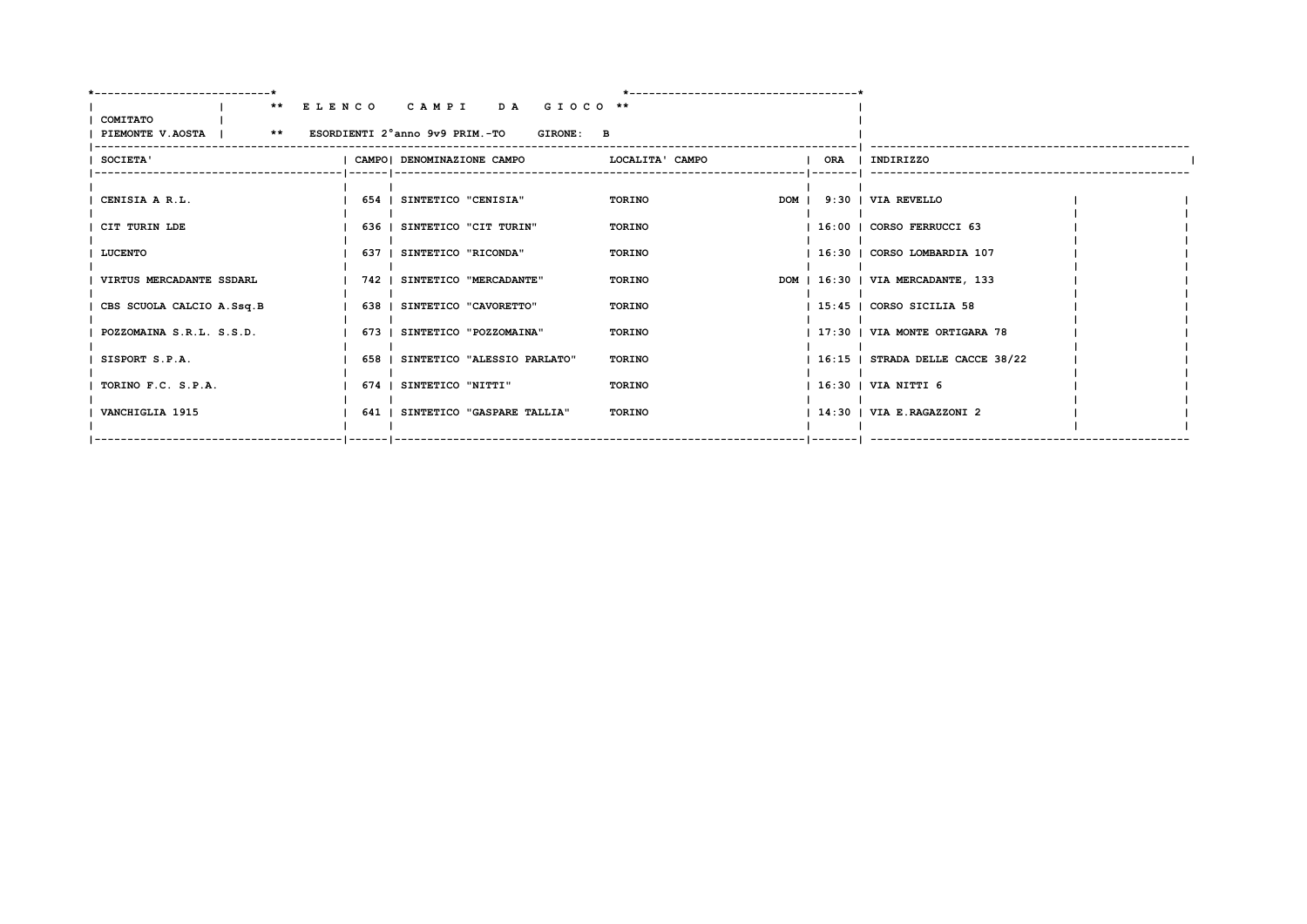|                                                                  | ** ELENCO CAMPI DA GIOCO **       |                 |  |                                    |  |
|------------------------------------------------------------------|-----------------------------------|-----------------|--|------------------------------------|--|
| COMITATO<br>PIEMONTE V.AOSTA   ** ESORDIENTI 2°anno 9v9 PRIM.-TO | <b>GIRONE: B</b>                  |                 |  |                                    |  |
| <b>SOCIETA'</b>                                                  | CAMPO  DENOMINAZIONE CAMPO        | LOCALITA' CAMPO |  | ORA   INDIRIZZO                    |  |
|                                                                  |                                   |                 |  |                                    |  |
| CENISIA A R.L.                                                   | 654   SINTETICO "CENISIA"         | TORINO          |  | DOM   9:30   VIA REVELLO           |  |
| CIT TURIN LDE                                                    | 636   SINTETICO "CIT TURIN"       | TORINO          |  | 16:00   CORSO FERRUCCI 63          |  |
| LUCENTO                                                          | 637   SINTETICO "RICONDA"         | TORINO          |  | 16:30   CORSO LOMBARDIA 107        |  |
| VIRTUS MERCADANTE SSDARL                                         | 742   SINTETICO "MERCADANTE"      | TORINO          |  | DOM   16:30   VIA MERCADANTE, 133  |  |
| CBS SCUOLA CALCIO A.Ssq.B                                        | 638   SINTETICO "CAVORETTO"       | TORINO          |  | 15:45   CORSO SICILIA 58           |  |
| POZZOMAINA S.R.L. S.S.D.                                         | 673   SINTETICO "POZZOMAINA"      | TORINO          |  | 17:30   VIA MONTE ORTIGARA 78      |  |
| SISPORT S.P.A.                                                   | 658   SINTETICO "ALESSIO PARLATO" | <b>TORINO</b>   |  | $16:15$   STRADA DELLE CACCE 38/22 |  |
| TORINO F.C. S.P.A.                                               | 674   SINTETICO "NITTI"           | <b>TORINO</b>   |  | 16:30   VIA NITTI 6                |  |
| VANCHIGLIA 1915                                                  | 641   SINTETICO "GASPARE TALLIA"  | TORINO          |  | 14:30   VIA E.RAGAZZONI 2          |  |
|                                                                  |                                   |                 |  | --   -------     ----------------  |  |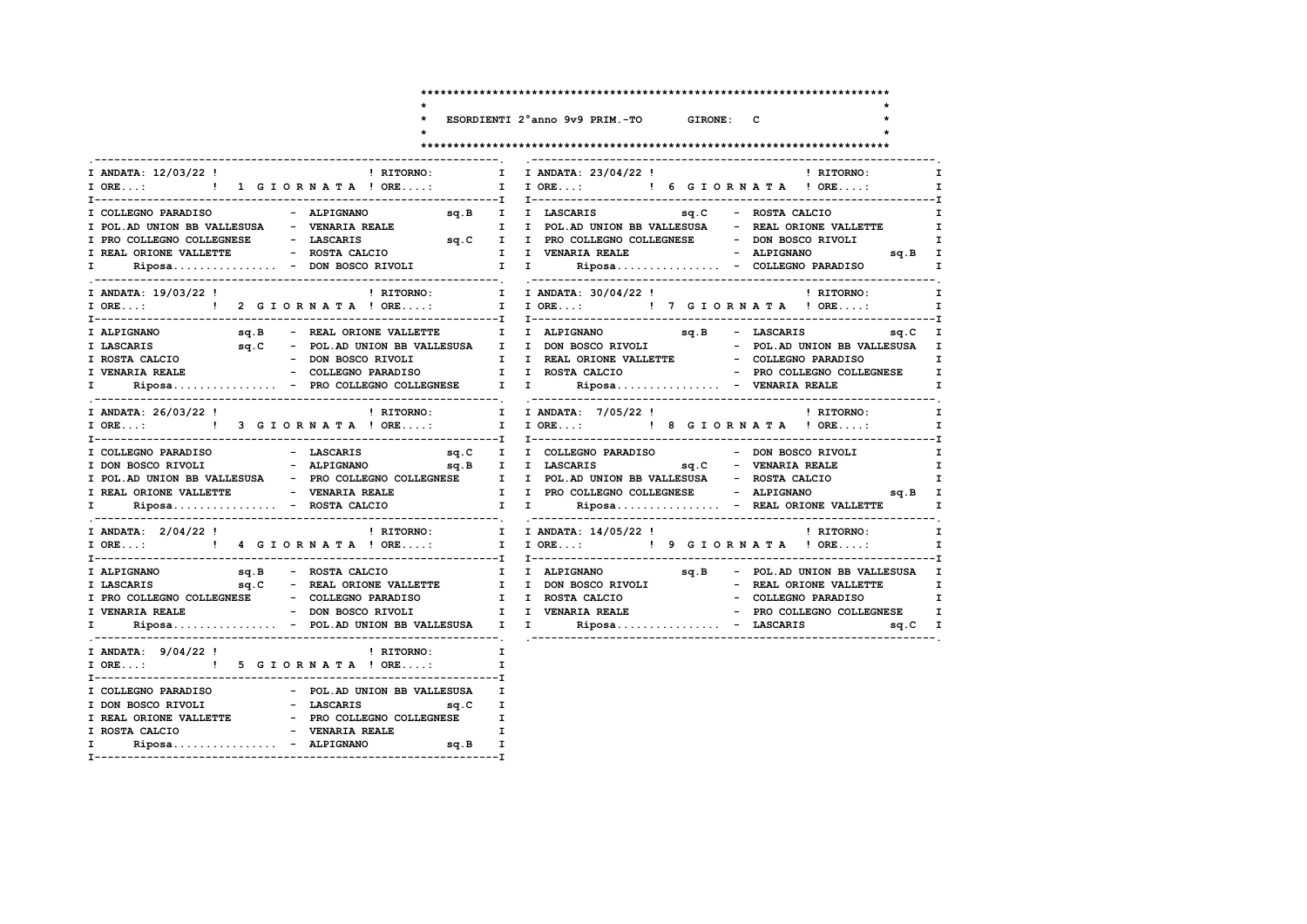$\ddot{\phantom{0}}$  $\star$ 

 $\star$ 

### ESORDIENTI 2°anno 9v9 PRIM.-TO GIRONE: C

 $\mathbf{r}$ 

 $\star$ 

| I ANDATA: 12/03/22 !                         | <b>EXECUTE:</b> I                                                        | I ANDATA: 23/04/22 ! PITORNO:<br>$\mathbf{I}$                                                                                                                                                                                                                                                                                                                                                                                                                     |
|----------------------------------------------|--------------------------------------------------------------------------|-------------------------------------------------------------------------------------------------------------------------------------------------------------------------------------------------------------------------------------------------------------------------------------------------------------------------------------------------------------------------------------------------------------------------------------------------------------------|
| I ORE: ! 1 G I O R N A T A ! ORE:            |                                                                          | I IORE: ! 6 GIORNATA ! ORE:<br>$\mathbf{I}$                                                                                                                                                                                                                                                                                                                                                                                                                       |
|                                              |                                                                          | $\mathbf{I}$                                                                                                                                                                                                                                                                                                                                                                                                                                                      |
| I POL. AD UNION BB VALLESUSA - VENARIA REALE |                                                                          | $\mathbf{I}$                                                                                                                                                                                                                                                                                                                                                                                                                                                      |
| I PRO COLLEGNO COLLEGNESE - LASCARIS         |                                                                          | $\mathbf{I}$                                                                                                                                                                                                                                                                                                                                                                                                                                                      |
|                                              |                                                                          |                                                                                                                                                                                                                                                                                                                                                                                                                                                                   |
|                                              |                                                                          |                                                                                                                                                                                                                                                                                                                                                                                                                                                                   |
|                                              |                                                                          | $\mathbf{I}$                                                                                                                                                                                                                                                                                                                                                                                                                                                      |
|                                              |                                                                          | ! RITORNO: [ TANDATA: 30/04/22 !   RITORNO: [ TANDATA: 30/04/22 !   TANDATA: 19/03/22 !   TORNO: [ TORE:   TORE:   TORE:   TORE:   TORE:   TORE:   TORE:   TORE:   TORE:   TORE:   TORE:  <br>$\mathbf{I}$                                                                                                                                                                                                                                                        |
|                                              |                                                                          | $\begin{tabular}{lcccccc} \texttt{I ALPIGNANO} & \texttt{sq.B} & - & \texttt{REAL} & \texttt{ORIONE} & \texttt{VALLETTE} & & \texttt{I} & \texttt{ALPIGNANO} & & \texttt{sq.B} & - & \texttt{LESL} & \texttt{sq.C} & \texttt{I} \\ \texttt{I LASCARIS} & \texttt{sq.C} & - & \texttt{POL} & \texttt{UNION BB} & \texttt{VALLETTE} & & \texttt{I} & \texttt{DON BOSCO RIVOLI} & - & \texttt{POL} & \texttt{ONION BB} & \texttt{WALLEUSA} & \texttt{I} \\ \texttt{$ |
|                                              |                                                                          |                                                                                                                                                                                                                                                                                                                                                                                                                                                                   |
|                                              |                                                                          |                                                                                                                                                                                                                                                                                                                                                                                                                                                                   |
|                                              |                                                                          |                                                                                                                                                                                                                                                                                                                                                                                                                                                                   |
|                                              |                                                                          |                                                                                                                                                                                                                                                                                                                                                                                                                                                                   |
| $\mathbf{I}$ and $\mathbf{I}$                |                                                                          | $\mathbf{I}$                                                                                                                                                                                                                                                                                                                                                                                                                                                      |
| I ANDATA: 26/03/22 !                         |                                                                          | ! RITORNO: I I ANDATA: 7/05/22 !<br>! RITORNO:<br>$\mathbf{I}$                                                                                                                                                                                                                                                                                                                                                                                                    |
|                                              |                                                                          | I ORE: ! 3 G I OR N A T A ! ORE: I I ORE: ! 8 G I OR N A T A ! ORE:<br>$\mathbf I$                                                                                                                                                                                                                                                                                                                                                                                |
| I COLLEGNO PARADISO                          | - LASCARIS                                                               | sq.C I I COLLEGNO PARADISO - DON BOSCO RIVOLI<br>$\mathbf{I}$                                                                                                                                                                                                                                                                                                                                                                                                     |
|                                              |                                                                          | $\mathbf{I}$                                                                                                                                                                                                                                                                                                                                                                                                                                                      |
|                                              |                                                                          |                                                                                                                                                                                                                                                                                                                                                                                                                                                                   |
|                                              |                                                                          |                                                                                                                                                                                                                                                                                                                                                                                                                                                                   |
|                                              |                                                                          | I POL.AD UNION BB VALLESUSA – PRO COLLEGNO COLLEGNESE – I POL.AD UNION BB VALLESUSA – ROSTA CALCIO – I I REAL ORIONE VALLETTE – VENARIA REALE – I PRO COLLEGNO COLLEGNESE – ALPIGNANO – sq.B I Riposa – ROSTA                                                                                                                                                                                                                                                     |
| I ANDATA: 2/04/22 !                          |                                                                          | ! RITORNO: T I ANDATA: 14/05/22 !<br>! RITORNO: I                                                                                                                                                                                                                                                                                                                                                                                                                 |
|                                              |                                                                          | I ORE:  1 I ORE: I I ORE:  I I ORE: I P G I OR N A T A ! ORE: I                                                                                                                                                                                                                                                                                                                                                                                                   |
|                                              |                                                                          |                                                                                                                                                                                                                                                                                                                                                                                                                                                                   |
|                                              |                                                                          | $\mathbf{I}$                                                                                                                                                                                                                                                                                                                                                                                                                                                      |
|                                              |                                                                          | $\mathbf{I}$                                                                                                                                                                                                                                                                                                                                                                                                                                                      |
|                                              |                                                                          |                                                                                                                                                                                                                                                                                                                                                                                                                                                                   |
|                                              |                                                                          | I Riposa - POL.AD UNION BB VALLESUSA II I Riposa - LASCARIS 9q.C I                                                                                                                                                                                                                                                                                                                                                                                                |
| I ANDATA: $9/04/22$ ! PRITORNO:              | $\mathbf{I}$ and $\mathbf{I}$                                            |                                                                                                                                                                                                                                                                                                                                                                                                                                                                   |
| I ORE: ! 5 G I O R N A T A ! ORE:            |                                                                          | $\mathbf{I}$                                                                                                                                                                                                                                                                                                                                                                                                                                                      |
|                                              |                                                                          |                                                                                                                                                                                                                                                                                                                                                                                                                                                                   |
|                                              |                                                                          |                                                                                                                                                                                                                                                                                                                                                                                                                                                                   |
|                                              | I REAL ORIONE VALLETTE - PRO COLLEGNO COLLEGNESE I                       |                                                                                                                                                                                                                                                                                                                                                                                                                                                                   |
| I ROSTA CALCIO                               |                                                                          |                                                                                                                                                                                                                                                                                                                                                                                                                                                                   |
| I.                                           |                                                                          |                                                                                                                                                                                                                                                                                                                                                                                                                                                                   |
|                                              | - VENARIA REALE I<br>Riposa - ALPIGNANO sq.B I<br>---------------------- |                                                                                                                                                                                                                                                                                                                                                                                                                                                                   |
|                                              |                                                                          |                                                                                                                                                                                                                                                                                                                                                                                                                                                                   |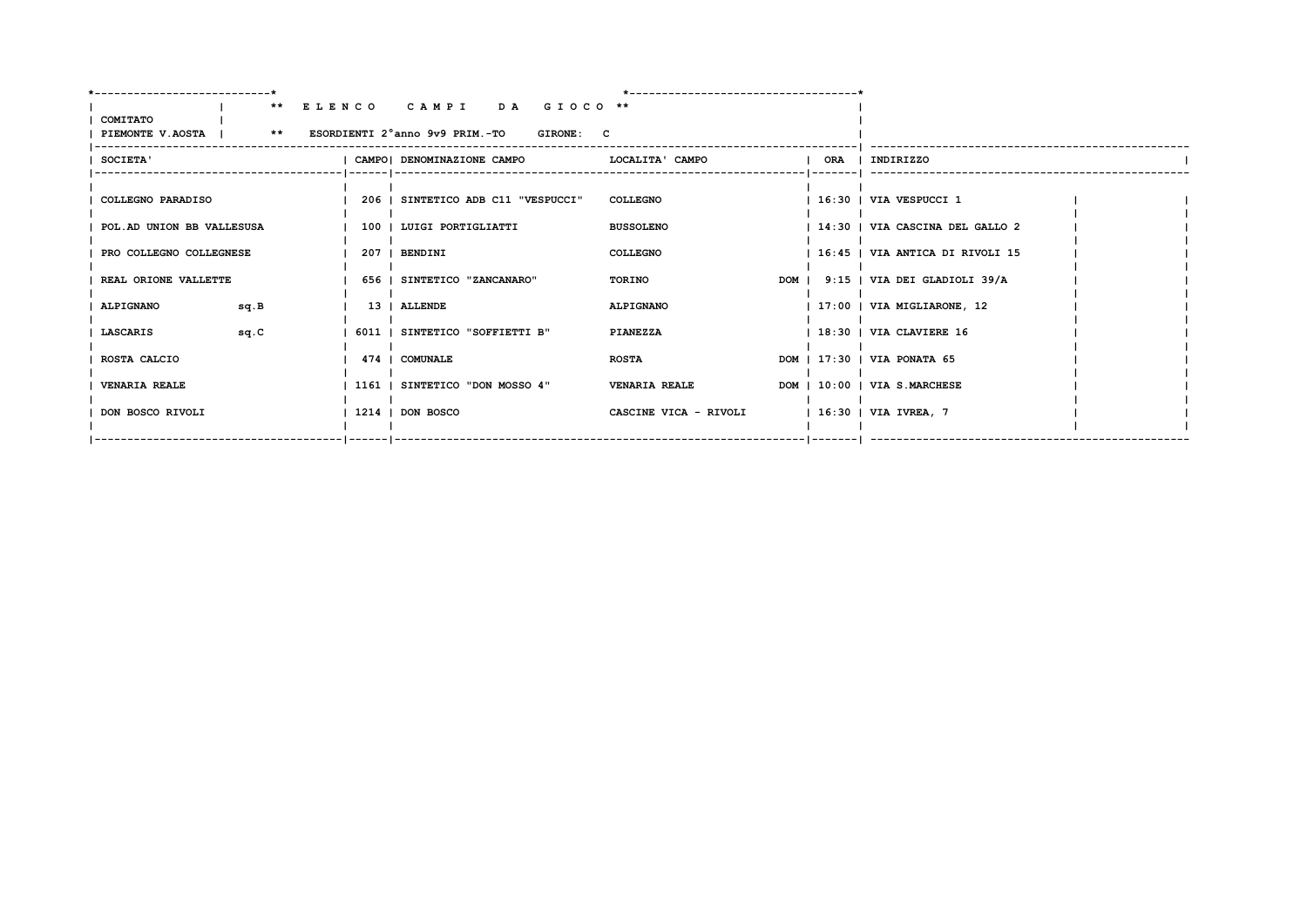|                                                                  |      | ** ELENCO CAMPI DA GIOCO **                 |                  |                       |  |                                    |  |
|------------------------------------------------------------------|------|---------------------------------------------|------------------|-----------------------|--|------------------------------------|--|
| COMITATO<br>PIEMONTE V.AOSTA   ** ESORDIENTI 2°anno 9v9 PRIM.-TO |      |                                             | <b>GIRONE: C</b> |                       |  |                                    |  |
| <b>SOCIETA'</b>                                                  |      | CAMPO! DENOMINAZIONE CAMPO                  |                  | LOCALITA' CAMPO       |  | ORA   INDIRIZZO                    |  |
| COLLEGNO PARADISO                                                |      | 206   SINTETICO ADB C11 "VESPUCCI" COLLEGNO |                  |                       |  | $1\,16:30$   VIA VESPUCCI 1        |  |
| POL.AD UNION BB VALLESUSA                                        |      | 100   LUIGI PORTIGLIATTI                    |                  | <b>BUSSOLENO</b>      |  | 14:30   VIA CASCINA DEL GALLO 2    |  |
| PRO COLLEGNO COLLEGNESE                                          |      | 207   BENDINI                               |                  | <b>COLLEGNO</b>       |  | 16:45   VIA ANTICA DI RIVOLI 15    |  |
| REAL ORIONE VALLETTE                                             |      | 656   SINTETICO "ZANCANARO"                 |                  | TORINO                |  | DOM   9:15   VIA DEI GLADIOLI 39/A |  |
| <b>ALPIGNANO</b>                                                 | sq.B | 13   ALLENDE                                |                  | <b>ALPIGNANO</b>      |  | $ 17:00 $ VIA MIGLIARONE, 12       |  |
| LASCARIS                                                         | sq.C | 6011   SINTETICO "SOFFIETTI B"              |                  | PIANEZZA              |  | $1.18:30$   VIA CLAVIERE 16        |  |
| ROSTA CALCIO                                                     |      | 474   COMUNALE                              |                  | <b>ROSTA</b>          |  | DOM   17:30   VIA PONATA 65        |  |
| <b>VENARIA REALE</b>                                             |      | 1161   SINTETICO "DON MOSSO 4"              |                  | <b>VENARIA REALE</b>  |  | DOM   10:00   VIA S.MARCHESE       |  |
| DON BOSCO RIVOLI                                                 |      | 1214 I DON BOSCO                            |                  | CASCINE VICA - RIVOLI |  | 16:30   VIA IVREA, 7               |  |
|                                                                  |      |                                             |                  |                       |  |                                    |  |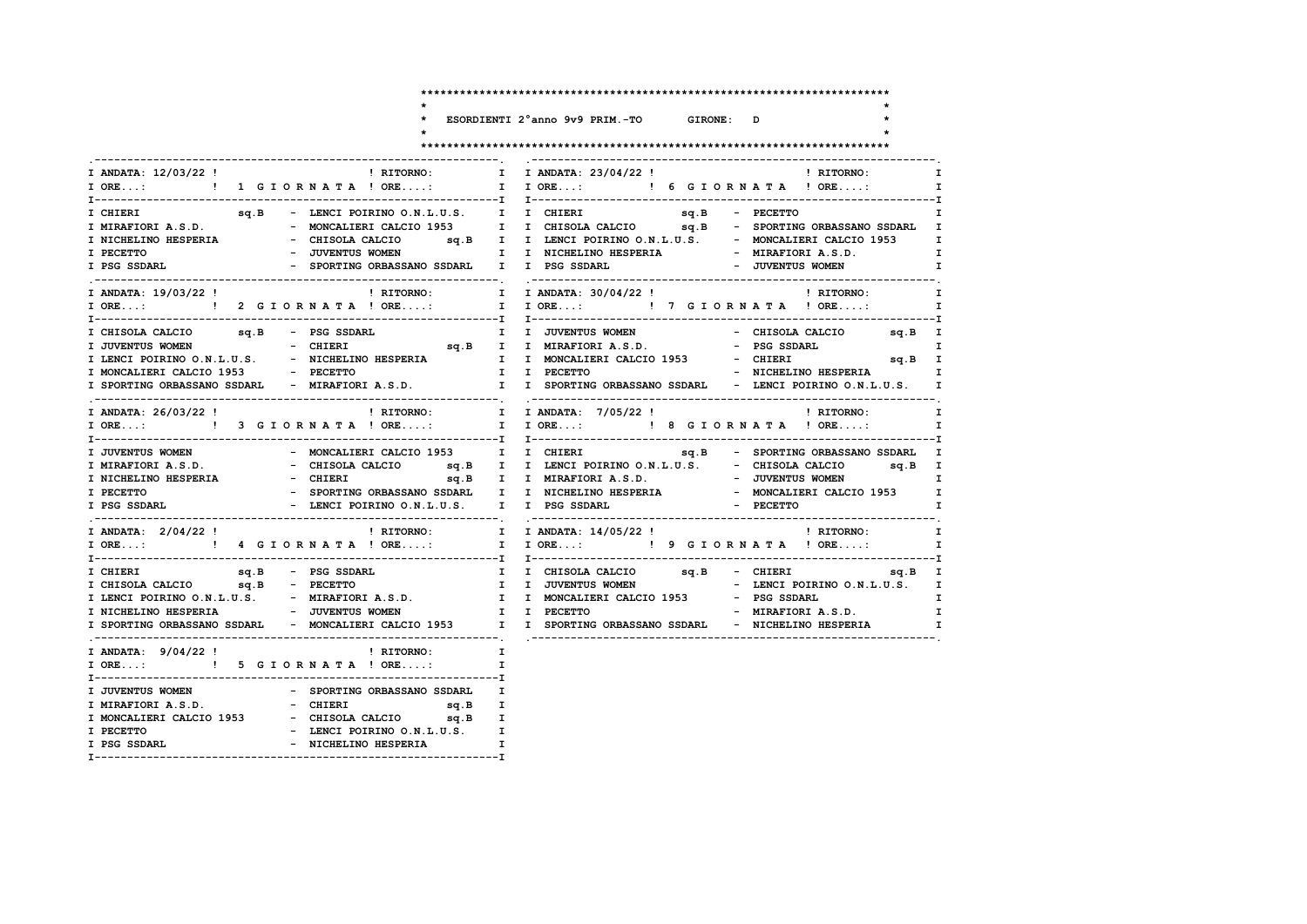$\ddot{\phantom{0}}$  $\star$ 

 $\star$ 

 $\mathbf{I}$  $\mathbf{I}$  $\mathbf{I}$  $\mathbf{I}$  $\mathbf{r}$ 

ESORDIENTI 2°anno 9v9 PRIM.-TO GIRONE: D

 $\mathbf{r}$ 

 $\star$ 

|                                                                                              |                                                                                                                                             | I ANDATA: 23/04/22 ! PHITORNO:<br>I                                                                                                                                                                                                                                                                                                                                |
|----------------------------------------------------------------------------------------------|---------------------------------------------------------------------------------------------------------------------------------------------|--------------------------------------------------------------------------------------------------------------------------------------------------------------------------------------------------------------------------------------------------------------------------------------------------------------------------------------------------------------------|
| I ORE: ! 1 G I O R N A T A ! ORE:                                                            |                                                                                                                                             | I I ORE: ! 6 G I O R N A T A ! ORE:<br>$\mathbf{I}$                                                                                                                                                                                                                                                                                                                |
| I PECETTO<br>I PSG SSDARL                                                                    | - SPORTING ORBASSANO SSDARL I I PSG SSDARL                                                                                                  | - JUVENTUS WOMEN T I NICHELINO HESPERIA - MIRAFIORI A.S.D.<br>$\mathbf{I}$ and $\mathbf{I}$<br>- JUVENTUS WOMEN<br>$\mathbf{I}$                                                                                                                                                                                                                                    |
| I ANDATA: 19/03/22 !                                                                         | ! RITORNO:                                                                                                                                  | I I ANDATA: 30/04/22!<br>! RITORNO:<br>$\mathbf{I}$<br>I ORE:  1 I ORE:  1 I ORE:  1 I ORE:  I I ORE:  I I ORE  I ORE  I ORE<br>$\mathbf{I}$                                                                                                                                                                                                                       |
| I CHISOLA CALCIO sq.B - PSG SSDARL<br>I JUVENTUS WOMEN<br>I MONCALIERI CALCIO 1953 - PECETTO |                                                                                                                                             | I I JUVENTUS WOMEN<br>- CHISOLA CALCIO sq.B I<br>$\mathbf{I}$<br>I LENCI POIRINO O.N.L.U.S. - NICHELINO HESPERIA I I MONCALIERI CALCIO 1953 - CHIERI Sq.B I<br>I I PECETTO<br>- NICHELINO HESPERIA 1<br>I SPORTING ORBASSANO SSDARL - MIRAFIORI A.S.D. I I SPORTING ORBASSANO SSDARL - LENCI POIRINO O.N.L.U.S. I                                                  |
| I ANDATA: 26/03/22 !                                                                         |                                                                                                                                             | ! RITORNO: I I ANDATA: 7/05/22 !<br>$\mathbf{I}$<br>! RITORNO:<br>$\mathbf{I}$                                                                                                                                                                                                                                                                                     |
| I JUVENTUS WOMEN<br>I NICHELINO HESPERIA<br>I PECETTO<br>I PSG SSDARL                        | - MONCALIERI CALCIO 1953 I I CHIERI<br>- SPORTING ORBASSANO SSDARL   I   I  NICHELINO HESPERIA<br>- LENCI POIRINO O.N.L.U.S. I I PSG SSDARL | sq.B - SPORTING ORBASSANO SSDARL I<br>- MONCALIERI CALCIO 1953 I<br>- PECETTO<br>$\mathbf{I}$                                                                                                                                                                                                                                                                      |
| I ANDATA: 2/04/22 !                                                                          |                                                                                                                                             |                                                                                                                                                                                                                                                                                                                                                                    |
| sq.B - PSG SSDARL<br>I CHIERI                                                                |                                                                                                                                             | I I CHISOLA CALCIO 5q.B - CHIERI 5q.B I<br>I CHISOLA CALCIO sq.B - PECETTO I I JUVENTUS WOMEN - LENCI POIRINO O.N.L.U.S. I I LENCI POIRINO O.N.L.U.S. I I MONCALIERI CALCIO 1953 - PSG SSDARL I I<br>- MIRAFIORI A.S.D.<br>$\mathbf{I}$<br>I SPORTING ORBASSANO SSDARL - MONCALIERI CALCIO 1953 I I SPORTING ORBASSANO SSDARL - NICHELINO HESPERIA<br>$\mathbf{I}$ |
| I ORE: ! 5 G I O R N A T A ! ORE:                                                            | I ANDATA: $9/04/22$ ! (RITORNO: I                                                                                                           | $\mathbf{I}$                                                                                                                                                                                                                                                                                                                                                       |
| I JUVENTUS WOMEN<br>I MIRAFIORI A.S.D.<br>I PECETTO<br>I PSG SSDARL                          | sq.B<br>I MONCALIERI CALCIO 1953 - CHISOLA CALCIO sq.B I<br>- LENCI POIRINO O.N.L.U.S. I<br>- NICHELINO HESPERIA                            | $\mathbf I$<br>$\mathbf{I}$<br>$\mathbf{I}$                                                                                                                                                                                                                                                                                                                        |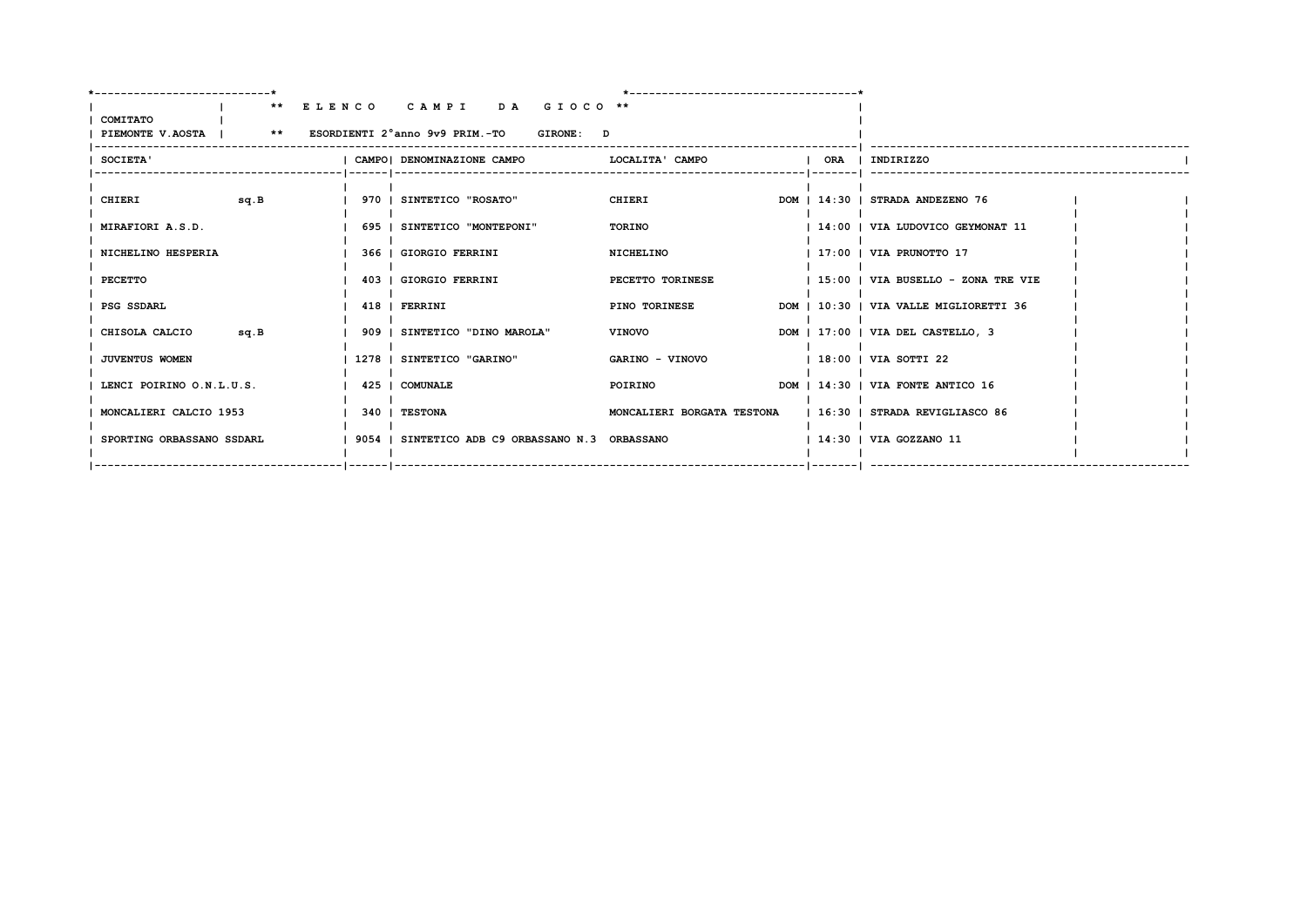| -----------------------   |      |                                                                   |                            |                                        |  |
|---------------------------|------|-------------------------------------------------------------------|----------------------------|----------------------------------------|--|
|                           |      | ** ELENCO CAMPI DA GIOCO **                                       |                            |                                        |  |
| <b>COMITATO</b>           |      |                                                                   |                            |                                        |  |
|                           |      | PIEMONTE V.AOSTA   ** ESORDIENTI 2°anno 9v9 PRIM.-TO<br>GIRONE: D |                            |                                        |  |
| <b>SOCIETA'</b>           |      | CAMPO   DENOMINAZIONE CAMPO   LOCALITA ' CAMPO                    |                            | ORA   INDIRIZZO                        |  |
|                           |      |                                                                   |                            |                                        |  |
| CHIERI                    | sq.B | 970   SINTETICO "ROSATO"                                          | CHIERI                     | DOM   14:30   STRADA ANDEZENO 76       |  |
| MIRAFIORI A.S.D.          |      | 695   SINTETICO "MONTEPONI"                                       | TORINO                     | 14:00   VIA LUDOVICO GEYMONAT 11       |  |
| NICHELINO HESPERIA        |      | 366   GIORGIO FERRINI                                             | NICHELINO                  | $\vert$ 17:00 $\vert$ VIA PRUNOTTO 17  |  |
| PECETTO                   |      | 403   GIORGIO FERRINI                                             | PECETTO TORINESE           | 15:00   VIA BUSELLO - ZONA TRE VIE     |  |
| PSG SSDARL                |      | 418   FERRINI                                                     | <b>PINO TORINESE</b>       | DOM   10:30   VIA VALLE MIGLIORETTI 36 |  |
|                           |      |                                                                   |                            |                                        |  |
| CHISOLA CALCIO            | sq.B | 909   SINTETICO "DINO MAROLA"                                     | <b>VINOVO</b>              | DOM   17:00   VIA DEL CASTELLO, 3      |  |
| <b>JUVENTUS WOMEN</b>     |      | 1278   SINTETICO "GARINO"                                         | GARINO - VINOVO            | $1.18:00$   VIA SOTTI 22               |  |
| LENCI POIRINO O.N.L.U.S.  |      | 425   COMUNALE                                                    | POIRINO                    | DOM   14:30   VIA FONTE ANTICO 16      |  |
| MONCALIERI CALCIO 1953    |      | 340 I TESTONA                                                     | MONCALIERI BORGATA TESTONA | 16:30   STRADA REVIGLIASCO 86          |  |
|                           |      |                                                                   |                            |                                        |  |
| SPORTING ORBASSANO SSDARL |      | 9054   SINTETICO ADB C9 ORBASSANO N.3 ORBASSANO                   |                            | 14:30   VIA GOZZANO 11                 |  |
|                           |      |                                                                   |                            |                                        |  |
|                           |      |                                                                   |                            |                                        |  |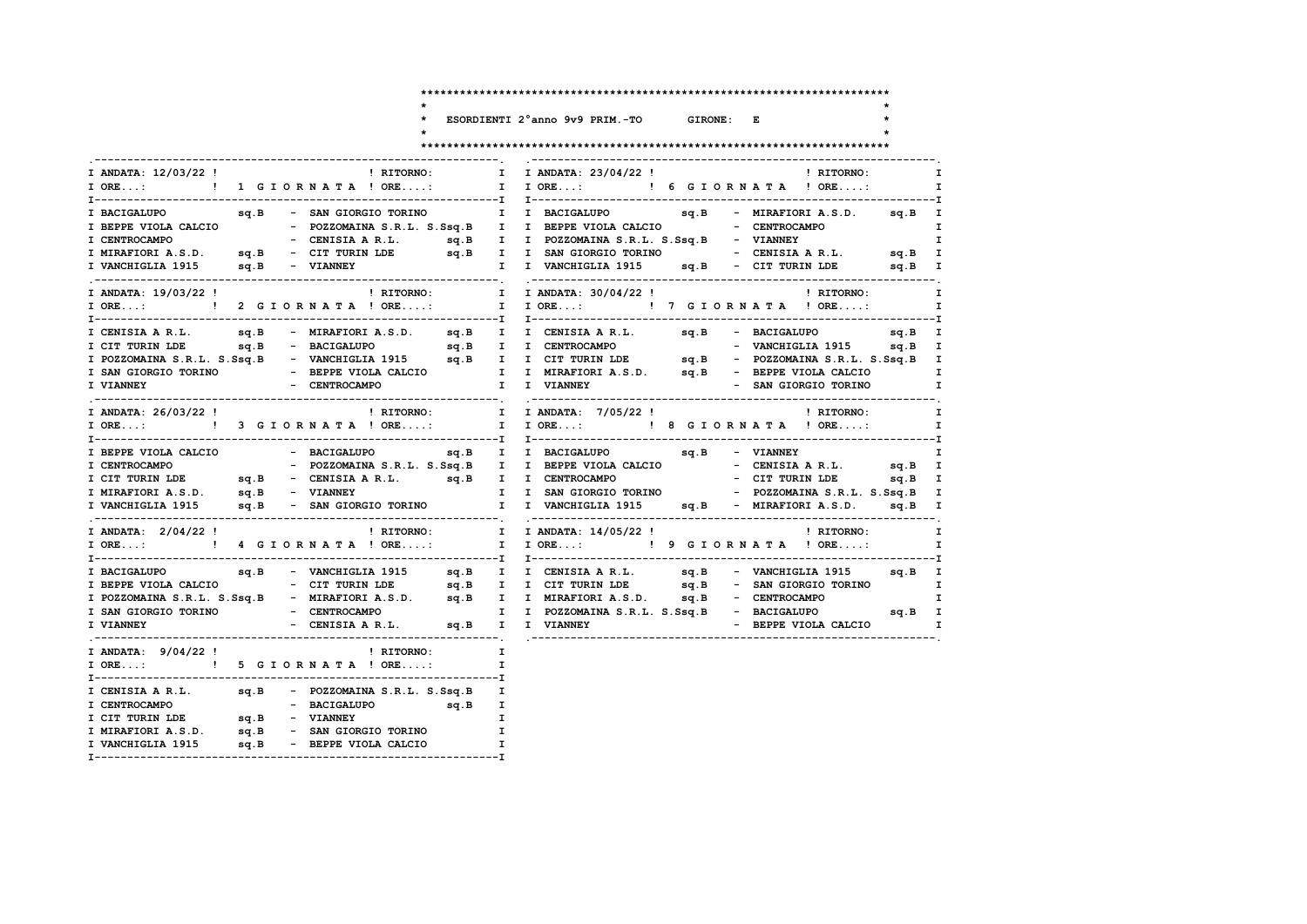ESORDIENTI 2°anno 9v9 PRIM.-TO GIRONE: E

 $\ddot{\phantom{0}}$  $\star$ 

 $\star$ 

 $\mathbf{I}$  $\mathbf{I}$  $\mathbf{I}$  $\mathbf{I}$  $\mathbf{T}$ 

### 

| I ANDATA: 12/03/22 !                                                                        |  | ! RITORNO:                                            |                                                | I ANDATA: 23/04/22 ! PHITORNO:<br>$\mathbf{I}$                                                                                                                                             |
|---------------------------------------------------------------------------------------------|--|-------------------------------------------------------|------------------------------------------------|--------------------------------------------------------------------------------------------------------------------------------------------------------------------------------------------|
| $I$ ORE:                                                                                    |  | ! 1 GIORNATA ! ORE:                                   |                                                | I IORE: ! 6 GIORNATA ! ORE:                                                                                                                                                                |
|                                                                                             |  |                                                       |                                                | $sq.B$ I                                                                                                                                                                                   |
|                                                                                             |  |                                                       |                                                | I BEPPE VIOLA CALCIO - POZZOMAINA S.R.L. S.Ssq.B I I BEPPE VIOLA CALCIO - CENTROCAMPO                                                                                                      |
|                                                                                             |  |                                                       |                                                |                                                                                                                                                                                            |
|                                                                                             |  |                                                       |                                                | I CENTROCAMPO - CENISIA A R.L. sq.B I I POZZOMAINA S.R.L. S.Ssq.B - VIANNEY<br>I MIRAFIORI A.S.D. sq.B - CIT TURIN LDE sq.B I I SAN GIORGIO TORINO - CENISIA A R.L. sq.B I                 |
| I VANCHIGLIA 1915 sq.B - VIANNEY                                                            |  |                                                       |                                                | I I VANCHIGLIA 1915 sq.B - CIT TURIN LDE sq.B I                                                                                                                                            |
|                                                                                             |  |                                                       |                                                |                                                                                                                                                                                            |
| I ANDATA: 19/03/22 !                                                                        |  | ! RITORNO:                                            |                                                | I ANDATA: 30/04/22 !<br>$\mathbf{I}$<br>! RITORNO:                                                                                                                                         |
|                                                                                             |  |                                                       |                                                | I ORE:  1 I ORE:  1 I ORE:  1 I ORE:  I I ORE:  I I ORE:  I I ORE:                                                                                                                         |
|                                                                                             |  |                                                       |                                                |                                                                                                                                                                                            |
|                                                                                             |  |                                                       |                                                |                                                                                                                                                                                            |
|                                                                                             |  |                                                       |                                                |                                                                                                                                                                                            |
|                                                                                             |  |                                                       |                                                | 1 UIT TURIN LDE 59.B - BACIGALUPO 59.B I I CENTROCAMPO - VANCHIGLIA 1915 59.B I POZZOMAINA S.R.L. S.SS9.B I POZZOMAINA S.R.L. S.SS9.B I SAN GIORGIO TORINO - WANCHIGLIA 1915 59.B I        |
|                                                                                             |  |                                                       |                                                |                                                                                                                                                                                            |
|                                                                                             |  |                                                       |                                                |                                                                                                                                                                                            |
| I ANDATA: 26/03/22 !                                                                        |  |                                                       |                                                | ! RITORNO:<br>! RITORNO: I I ANDATA: 7/05/22 !                                                                                                                                             |
|                                                                                             |  |                                                       |                                                | I ORE: ! 3 GIORNATA ! ORE: I I ORE: ! 8 GIORNATA ! ORE:                                                                                                                                    |
|                                                                                             |  |                                                       |                                                |                                                                                                                                                                                            |
|                                                                                             |  |                                                       |                                                | sq.B - VIANNEY                                                                                                                                                                             |
|                                                                                             |  |                                                       |                                                |                                                                                                                                                                                            |
|                                                                                             |  |                                                       |                                                |                                                                                                                                                                                            |
|                                                                                             |  |                                                       |                                                |                                                                                                                                                                                            |
|                                                                                             |  |                                                       | $\mathbf{I}$ and $\mathbf{I}$ and $\mathbf{I}$ | I VANCHIGLIA 1915 sq.B - MIRAFIORI A.S.D. sq.B I                                                                                                                                           |
| I ANDATA: 2/04/22 !                                                                         |  | ! RITORNO: I                                          |                                                | I ANDATA: 14/05/22 !<br>! RITORNO:                                                                                                                                                         |
|                                                                                             |  |                                                       |                                                | I ORE:  1 I ORE: I I ORE:  1 I ORE I ORE: I P G I OR N A T A ! ORE<br>$\mathbf{I}$                                                                                                         |
|                                                                                             |  |                                                       |                                                | I BACIGALUPO sq.B - VANCHIGLIA 1915 sq.B I I CENISIA A R.L. sq.B - VANCHIGLIA 1915 sq.B I                                                                                                  |
|                                                                                             |  |                                                       |                                                |                                                                                                                                                                                            |
|                                                                                             |  |                                                       |                                                | I BEPPE VIOLA CALCIO – CIT TURIN LDE sq.B I I CIT TURIN LDE sq.B – SAN GIORGIO TORINO I<br>I POZZOMAINA S.R.L. S.Ssq.B – MIRAFIORI A.S.D. sq.B I I MIRAFIORI A.S.D. sq.B – CENTROCAMPO I I |
|                                                                                             |  |                                                       |                                                |                                                                                                                                                                                            |
| <b>I VIANNEY</b>                                                                            |  | - CENISIA AR.L. sq.B I I VIANNEY                      |                                                | - BEPPE VIOLA CALCIO I                                                                                                                                                                     |
|                                                                                             |  |                                                       |                                                |                                                                                                                                                                                            |
| I ANDATA: 9/04/22!                                                                          |  | <b>Example 18 INCORDING:</b>                          |                                                | $\mathbf{I}$                                                                                                                                                                               |
|                                                                                             |  | I ORE: ! 5 G I O R N A T A ! ORE:                     |                                                | $\mathbf{I}$                                                                                                                                                                               |
|                                                                                             |  | I CENISIA A R.L. $sq.B$ - POZZOMAINA S.R.L. S.Ssq.B I |                                                |                                                                                                                                                                                            |
|                                                                                             |  | sq.B I<br>- BACIGALUPO                                |                                                |                                                                                                                                                                                            |
|                                                                                             |  |                                                       |                                                | $\mathbf{I}$                                                                                                                                                                               |
|                                                                                             |  |                                                       | $\mathbf{I}$                                   |                                                                                                                                                                                            |
| I MIRAFIORI A.S.D. sq.B - SAN GIORGIO TORINO<br>I VANCHIGLIA 1915 sq.B - BEPPE VIOLA CALCIO |  |                                                       |                                                | I                                                                                                                                                                                          |
|                                                                                             |  |                                                       |                                                |                                                                                                                                                                                            |
|                                                                                             |  |                                                       |                                                |                                                                                                                                                                                            |

 $\mathbf{r}$ 

 $\star$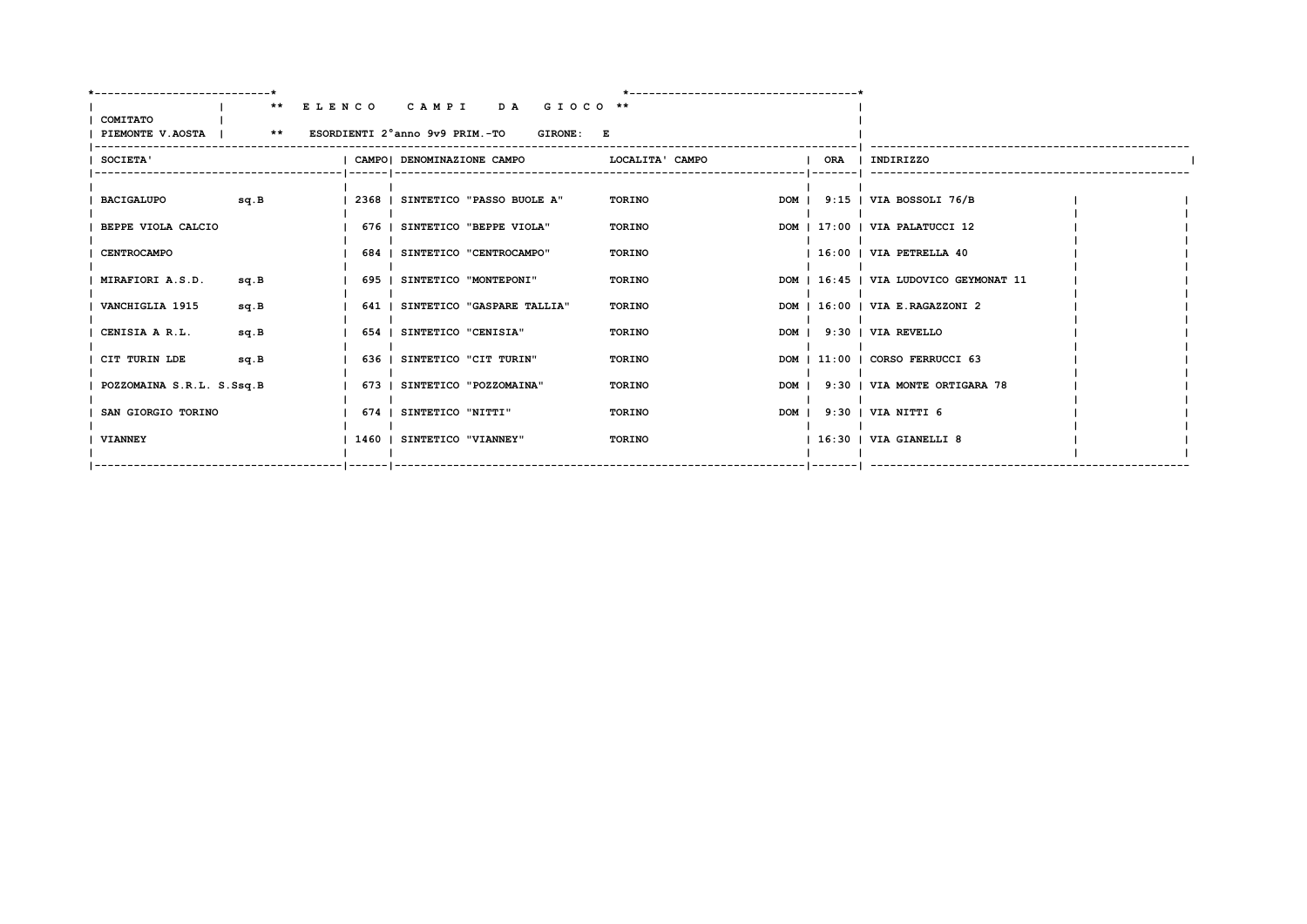| COMITATO<br>PIEMONTE V.AOSTA   ** ESORDIENTI 2°anno 9v9 PRIM.-TO GIRONE: E | ** ELENCO CAMPI DA GIOCO **      |                 |  |                                        |  |
|----------------------------------------------------------------------------|----------------------------------|-----------------|--|----------------------------------------|--|
| SOCIETA'                                                                   | CAMPO! DENOMINAZIONE CAMPO       | LOCALITA' CAMPO |  | ORA   INDIRIZZO                        |  |
| sq.B<br><b>BACIGALUPO</b>                                                  | 2368   SINTETICO "PASSO BUOLE A" | TORINO          |  | DOM   9:15   VIA BOSSOLI 76/B          |  |
| BEPPE VIOLA CALCIO                                                         | 676   SINTETICO "BEPPE VIOLA"    | TORINO          |  | DOM   17:00   VIA PALATUCCI 12         |  |
| <b>CENTROCAMPO</b>                                                         | 684   SINTETICO "CENTROCAMPO"    | TORINO          |  | $1.16:00$   VIA PETRELLA 40            |  |
| MIRAFIORI A.S.D.<br>sq.B                                                   | 695   SINTETICO "MONTEPONI"      | TORINO          |  | DOM   16:45   VIA LUDOVICO GEYMONAT 11 |  |
| VANCHIGLIA 1915<br>sq.B                                                    | 641   SINTETICO "GASPARE TALLIA" | TORINO          |  | DOM   16:00   VIA E.RAGAZZONI 2        |  |
| CENISIA A R.L.<br>sq.B                                                     | 654   SINTETICO "CENISIA"        | TORINO          |  | DOM   9:30   VIA REVELLO               |  |
| CIT TURIN LDE<br>sq.B                                                      | 636   SINTETICO "CIT TURIN"      | TORINO          |  | DOM   11:00   CORSO FERRUCCI 63        |  |
| POZZOMAINA S.R.L. S.Ssq.B                                                  | 673   SINTETICO "POZZOMAINA"     | TORINO          |  | DOM   9:30   VIA MONTE ORTIGARA 78     |  |
| SAN GIORGIO TORINO                                                         | 674   SINTETICO "NITTI"          | TORINO          |  | DOM   9:30   VIA NITTI 6               |  |
| <b>VIANNEY</b>                                                             | 1460   SINTETICO "VIANNEY"       | TORINO          |  | $1.16:30$   VIA GIANELLI 8             |  |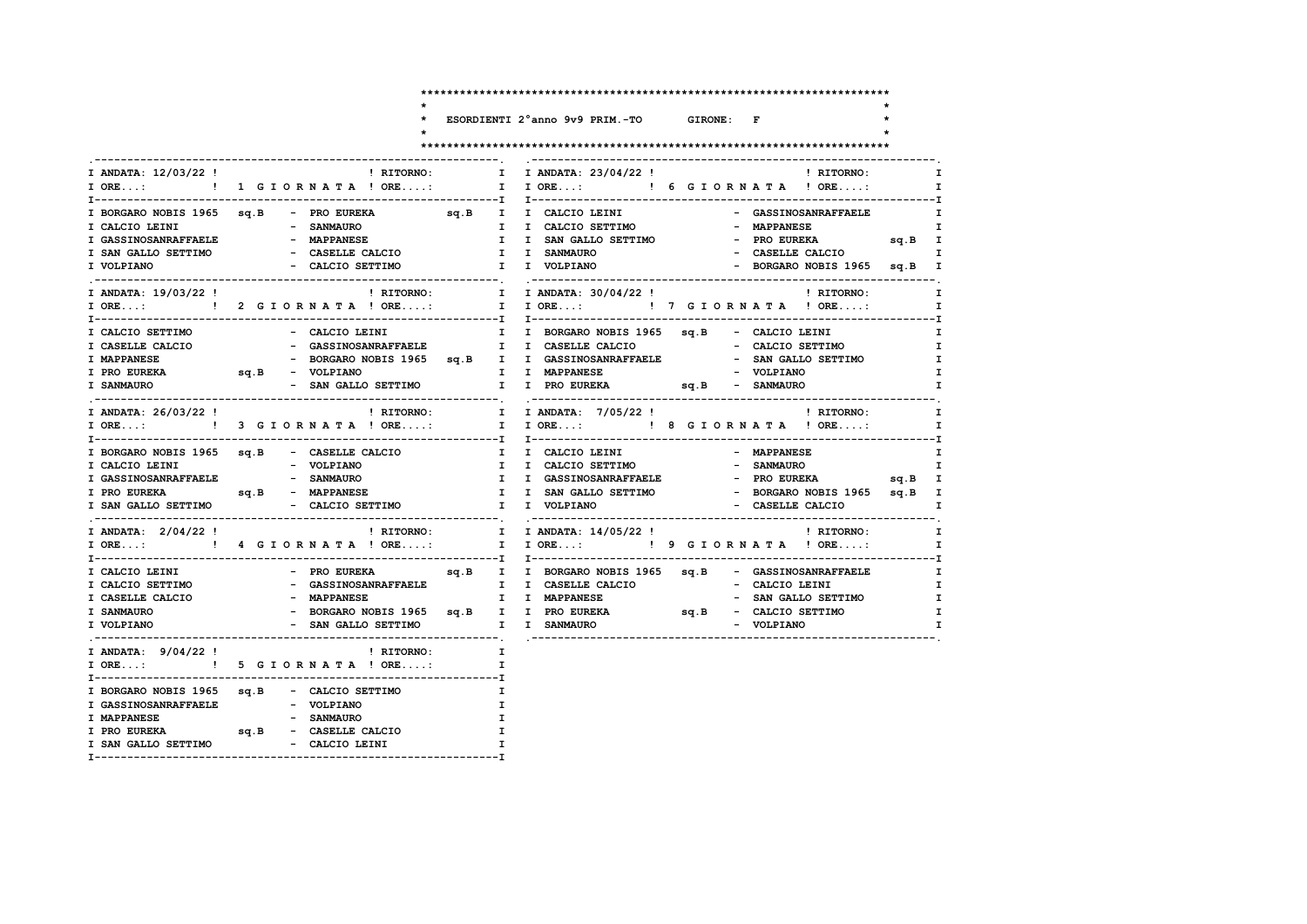ESORDIENTI 2°anno 9v9 PRIM.-TO GIRONE: F

 $\star$ 

 $\star$ 

 $\star$ 

#### 

 $\ddot{\phantom{0}}$  $\star$ 

| I ANDATA: 12/03/22 !                                                                      | ! RITORNO:<br>I ORE: ! 1 G I OR N A T A ! ORE:                                                                                                |                                    | I I ANDATA: 23/04/22 !<br>! RITORNO:<br>I I ORE: ! 6 G I OR N A T A ! ORE:                                                                                                                                                                                              | I<br>$\mathbf{I}$                                                 |
|-------------------------------------------------------------------------------------------|-----------------------------------------------------------------------------------------------------------------------------------------------|------------------------------------|-------------------------------------------------------------------------------------------------------------------------------------------------------------------------------------------------------------------------------------------------------------------------|-------------------------------------------------------------------|
|                                                                                           | I BORGARO NOBIS 1965 sq.B - PRO EUREKA sq.B I I CALCIO LEINI<br>I SAN GALLO SETTIMO - CASELLE CALCIO                                          |                                    | - GASSINOSANRAFFAELE<br>I I CALCIO SETTIMO<br>- MAPPANESE<br>I I SAN GALLO SETTIMO<br>- PRO EUREKA sq.B I<br>- CASELLE CALCIO<br>I I SANMAURO                                                                                                                           | $\mathbf{I}$<br>I<br>$\mathbf I$                                  |
| I VOLPIANO<br>I ANDATA: 19/03/22 !                                                        | - CALCIO SETTIMO                                                                                                                              |                                    | I I VOLPIANO<br>- BORGARO NOBIS 1965 sq.B I<br>! RITORNO: [ I ANDATA: 30/04/22 !<br><b>EXECUTE:</b> RITORNO:<br>IORE: 1   2 GIORNATA ! ORE: I IORE: 1   7 GIORNATA ! ORE:                                                                                               | I<br>$\mathbf{I}$                                                 |
| I CALCIO SETTIMO<br>I CASELLE CALCIO<br>I MAPPANESE<br>I PRO EUREKA<br><b>I SANMAURO</b>  | - CALCIO LEINI<br>- GASSINOSANRAFFAELE             I  I CASELLE CALCIO<br>- VOLPIANO<br>- SAN GALLO SETTIMO<br>sq.B - VOLPIANO<br>SAN GALLO - |                                    | I I BORGARO NOBIS 1965 sq.B - CALCIO LEINI<br>$\mathbf{I}$<br>- CALCIO SETTIMO<br>$\mathbf{I}$<br>- BORGARO NOBIS 1965 sq.B I I GASSINOSANRAFFAELE - SAN GALLO SETTIMO<br>I I MAPPANESE<br>- VOLPIANO                                                                   | $\mathbf{I}$<br>I<br>I.                                           |
| I ANDATA: 26/03/22 !                                                                      |                                                                                                                                               |                                    | ! RITORNO: I I ANDATA: 7/05/22 !<br>! RITORNO:                                                                                                                                                                                                                          | $\mathbf{I}$<br>$\mathbf{I}$                                      |
| I CALCIO LEINI<br>I GASSINOSANRAFFAELE - SANMAURO                                         | - VOLPIANO<br>I PRO EUREKA sq.B - MAPPANESE                                                                                                   |                                    | I BORGARO NOBIS 1965 sq.B - CASELLE CALCIO         I I CALCIO LEINI                          MAPPANESE<br>I I CALCIO SETTIMO<br>- SANMAURO<br>I I GASSINOSANRAFFAELE<br>- PRO EUREKA sq.B I<br>I I SAN GALLO SETTIMO<br>- BORGARO NOBIS 1965 sq.B I<br>- CASELLE CALCIO | I<br>$\mathbf{I}$<br>I.                                           |
| I ANDATA: 2/04/22 !                                                                       |                                                                                                                                               |                                    | ! RITORNO: I I ANDATA: 14/05/22 !<br>! RITORNO:<br>$\mathbf{I}$                                                                                                                                                                                                         | $\mathbf I$                                                       |
| I CALCIO LEINI<br>I CALCIO SETTIMO<br>I CASELLE CALCIO<br><b>I SANMAURO</b><br>I VOLPIANO | - MAPPANESE<br>- SAN GALLO SETTIMO                                                                                                            |                                    | - SAN GALLO SETTIMO<br>- BORGARO NOBIS 1965 sq.B I I PRO EUREKA sq.B - CALCIO SETTIMO<br>I I SANMAURO<br>- VOLPIANO                                                                                                                                                     | $\mathbf{I}$<br>$\mathbf{I}$<br>$\mathbf{I}$<br>I<br>$\mathbf{I}$ |
|                                                                                           | I ANDATA: $9/04/22$ ! RITORNO:<br>I ORE: ! 5 G I O R N A T A ! ORE:                                                                           | $\mathbf{I}$ and $\mathbf{I}$<br>I |                                                                                                                                                                                                                                                                         |                                                                   |
| I GASSINOSANRAFFAELE<br>I MAPPANESE<br><b>I PRO EUREKA</b>                                | I BORGARO NOBIS 1965 sq.B - CALCIO SETTIMO<br>- VOLPIANO<br>- SANMAURO<br>- CASELLE CALCIO<br>sq.B                                            | I.<br>I.                           | I<br>$\mathbf{I}$                                                                                                                                                                                                                                                       |                                                                   |

 $\mathbf{I}$ 

I SAN GALLO SETTIMO - CALCIO LEINI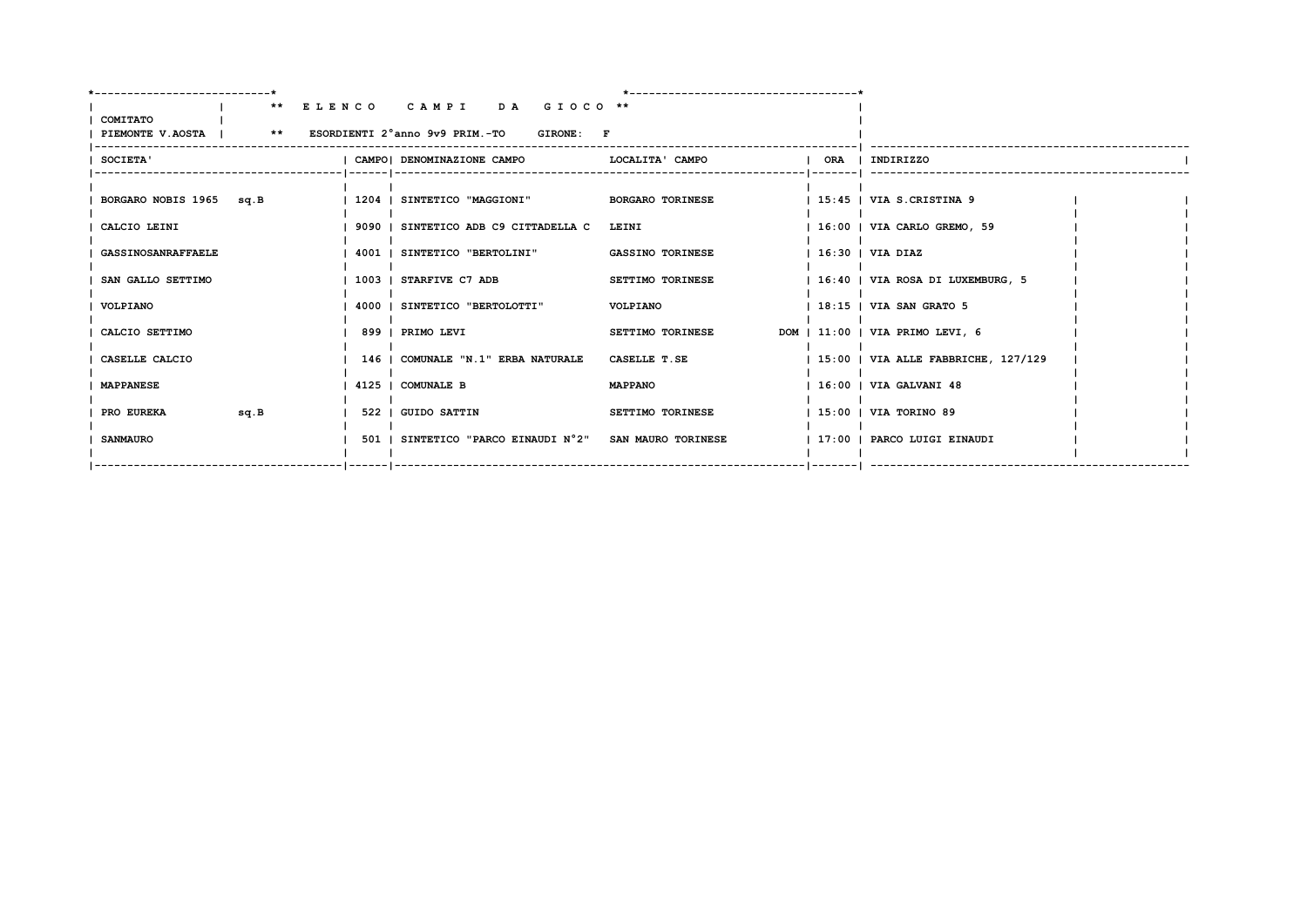| COMITATO<br>PIEMONTE V.AOSTA   ** ESORDIENTI 2°anno 9v9 PRIM.-TO GIRONE: F | ** ELENCO CAMPI DA GIOCO **                            |                         |                                            |  |
|----------------------------------------------------------------------------|--------------------------------------------------------|-------------------------|--------------------------------------------|--|
| SOCIETA'                                                                   | I CAMPOI DENOMINAZIONE CAMPO                           | LOCALITA' CAMPO         | ORA   INDIRIZZO                            |  |
| BORGARO NOBIS 1965 sq.B                                                    | 1204   SINTETICO "MAGGIONI" BORGARO TORINESE           |                         | $\vert$ 15:45 $\vert$ VIA S.CRISTINA 9     |  |
| CALCIO LEINI                                                               | 9090   SINTETICO ADB C9 CITTADELLA C LEINI             |                         | 16:00   VIA CARLO GREMO, 59                |  |
| <b>GASSINOSANRAFFAELE</b>                                                  | 4001   SINTETICO "BERTOLINI"                           | <b>GASSINO TORINESE</b> | $16:30$ $VIA$ $DIAZ$                       |  |
| SAN GALLO SETTIMO                                                          | 1003   STARFIVE C7 ADB                                 | <b>SETTIMO TORINESE</b> | 16:40   VIA ROSA DI LUXEMBURG, 5           |  |
| VOLPIANO                                                                   | 4000   SINTETICO "BERTOLOTTI"                          | VOLPIANO                | $1.18:15$   VIA SAN GRATO 5                |  |
| CALCIO SETTIMO                                                             | 899   PRIMO LEVI                                       | SETTIMO TORINESE        | DOM   11:00   VIA PRIMO LEVI, 6            |  |
| CASELLE CALCIO                                                             | 146   COMUNALE "N.1" ERBA NATURALE                     | CASELLE T.SE            | $1\,15:00$   VIA ALLE FABBRICHE, $127/129$ |  |
| <b>MAPPANESE</b>                                                           | 4125   COMUNALE B                                      | <b>MAPPANO</b>          | $1.16:00$   VIA GALVANI 48                 |  |
| PRO EUREKA<br>sq.B                                                         | <b>1 522 1 GUIDO SATTIN</b>                            | SETTIMO TORINESE        | 15:00   VIA TORINO 89                      |  |
| <b>SANMAURO</b>                                                            | 501   SINTETICO "PARCO EINAUDI N°2" SAN MAURO TORINESE |                         | 17:00   PARCO LUIGI EINAUDI                |  |
|                                                                            |                                                        |                         |                                            |  |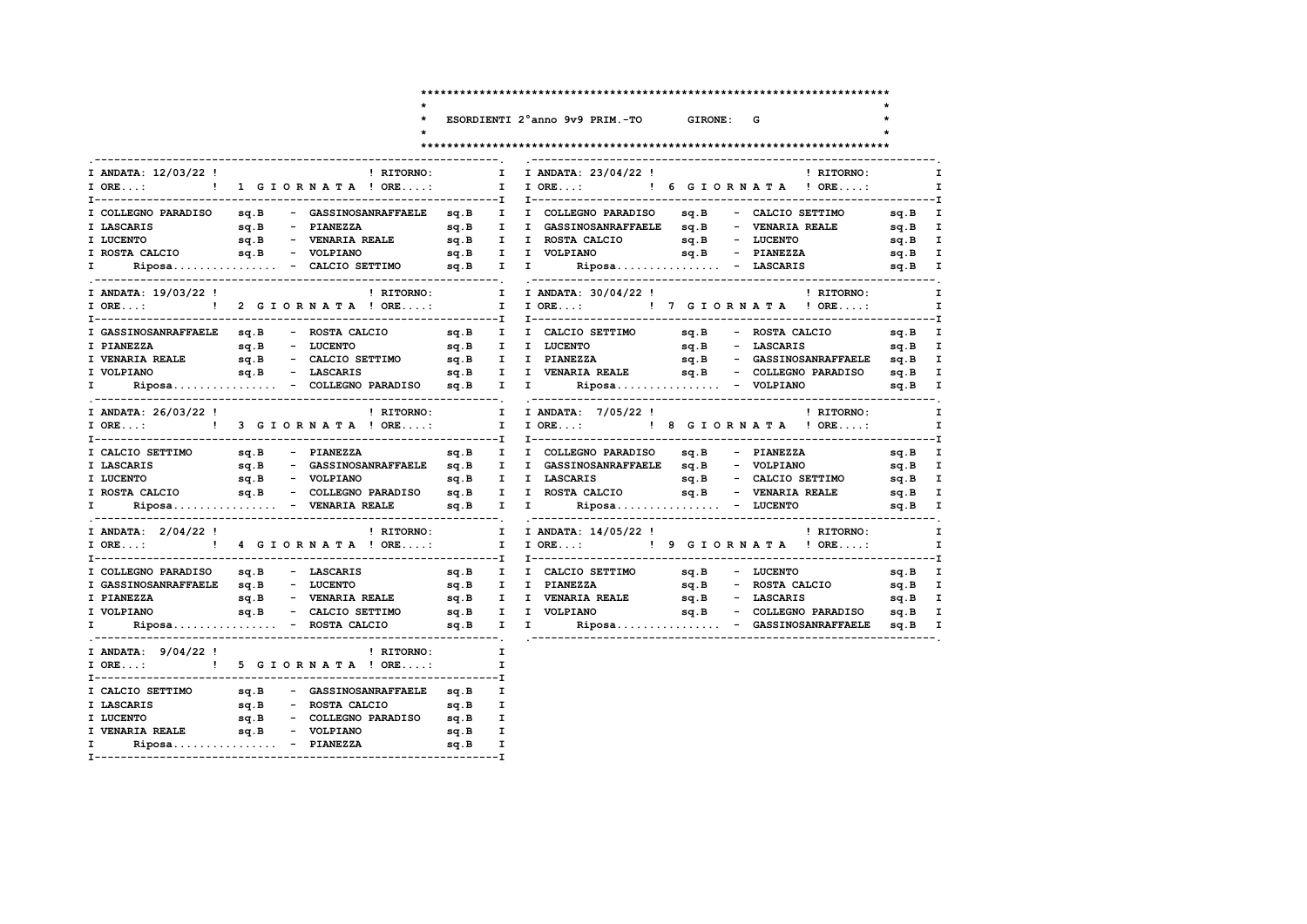ESORDIENTI 2°anno 9v9 PRIM.-TO

## GIRONE: G

 $\star$ 

 $\star$ 

 $\star$ 

> $\mathbf{T}$  $\mathbf{T}$

> $\mathbf{I}$  $\mathbf{I}$  $\mathbf{I}$  $\mathbf{I}$  $\mathbf I$

 $\mathbf I$  $\mathbf{T}$  $\mathbf{I}$  $\mathbf{I}$  $\mathbf{I}$ 

 $\mathbf{I}$  $\mathbf{I}$ 

 $\mathbf{I}$  $\mathbf{I}$  $\mathbf{I}$  $\mathbf{I}$  $\mathbf{I}$ 

#### 

| I ANDATA: 12/03/22 !                     |                | ! RITORNO:                                           | $\mathbf{I}$ | I ANDATA: 23/04/22 !<br>! RITORNO:                                                                                                     |                       |
|------------------------------------------|----------------|------------------------------------------------------|--------------|----------------------------------------------------------------------------------------------------------------------------------------|-----------------------|
| $I$ ORE:                                 |                | ! 1 GIORNATA ! ORE:                                  | $\mathbf{I}$ | $I$ ORE:<br>! 6 GIORNATA ! ORE:                                                                                                        |                       |
|                                          |                | I COLLEGNO PARADISO sq.B - GASSINOSANRAFFAELE sq.B I |              | I COLLEGNO PARADISO sq.B - CALCIO SETTIMO                                                                                              | --------I<br>$sq.B$ I |
| I LASCARIS                               |                |                                                      |              | sq.B I I GASSINOSANRAFFAELE sq.B - VENARIA REALE                                                                                       | sq.B I                |
| I LUCENTO                                |                |                                                      |              | $sq.B$ - LUCENTO                                                                                                                       | sq.B I                |
| I ROSTA CALCIO                           |                | sq.B - VOLPIANO                                      |              | sq.B I I VOLPIANO<br>$sq.B$ - PIANEZZA                                                                                                 | sq.B I                |
| I.                                       |                | $Riposa$ - CALCIO SETTIMO $sq.B$                     |              | $I$ $I$<br>$Riposa$ - LASCARIS                                                                                                         | $sq.B$ I              |
| I ANDATA: 19/03/22 !                     |                | ! RITORNO:                                           |              | I ANDATA: 30/04/22 !<br>! RITORNO:                                                                                                     |                       |
|                                          |                | I ORE: ! 2 G I ORNATA ! ORE:                         |              | I I ORE: ! 7 G I OR N A T A ! ORE:                                                                                                     |                       |
| I GASSINOSANRAFFAELE sq.B - ROSTA CALCIO |                |                                                      |              | sq.B - ROSTA CALCIO<br>sq.B I I CALCIO SETTIMO                                                                                         | sq.B I                |
| I PIANEZZA                               | sq.B - LUCENTO |                                                      |              | sq.B I I LUCENTO<br>sq.B - LASCARIS                                                                                                    | sq.B I                |
| I VENARIA REALE                          |                |                                                      |              |                                                                                                                                        |                       |
| I VOLPIANO                               |                | sq.B - LASCARIS                                      |              | sq.B I I VENARIA REALE 5q.B - COLLEGNO PARADISO                                                                                        | sq.B I                |
| I i                                      |                |                                                      |              | Riposa - COLLEGNO PARADISO sq.B I I Riposa - VOLPIANO                                                                                  | sq.B I                |
| I ANDATA: 26/03/22 !                     |                | ! RITORNO: I                                         |              | I ANDATA: 7/05/22 !<br>! RITORNO:                                                                                                      |                       |
|                                          |                | I ORE: ! 3 G I OR N A T A ! ORE: I                   |              | I ORE: ! 8 G I O R N A T A ! ORE:                                                                                                      |                       |
| I CALCIO SETTIMO                         |                | sq.B - PIANEZZA                                      |              | sq.B I I COLLEGNO-PARADISO sq.B - PIANEZZA                                                                                             | sq.B I                |
|                                          |                |                                                      |              |                                                                                                                                        | sq.B I                |
|                                          |                |                                                      |              |                                                                                                                                        | sq.B I                |
|                                          |                |                                                      |              |                                                                                                                                        | sq.B I                |
|                                          |                | Riposa - VENARIA REALE sq.B I                        |              | $\mathbf{I}$ and $\mathbf{I}$<br>$Riposa$ - LUCENTO                                                                                    | sq.B I                |
| I ANDATA: 2/04/22 !                      |                | ! RITORNO: I                                         |              | I ANDATA: 14/05/22 !<br>! RITORNO:                                                                                                     |                       |
|                                          |                |                                                      |              | I ORE:  1 ORE:  1 I ORE:  1 I ORE:  1 I ORE:  1 I ORE:  1 I ORE  1 ORE                                                                 |                       |
| I COLLEGNO PARADISO sq.B - LASCARIS      |                |                                                      | sq.B I       | sq.B - LUCENTO<br>I CALCIO SETTIMO<br>sq.B I                                                                                           |                       |
| I GASSINOSANRAFFAELE sq.B                |                |                                                      |              |                                                                                                                                        |                       |
| sq.B<br>I PIANEZZA                       |                |                                                      |              |                                                                                                                                        |                       |
| I VOLPIANO sq.B                          |                | - CALCIO SETTIMO sq.B I I VOLPIANO                   |              | sq.B - COLLEGNO PARADISO                                                                                                               | sq.B I                |
| $\mathbf{I}$ and $\mathbf{I}$            |                |                                                      |              | $\verb Riposa{}{}{}{}{} = \verb ROSTA CALCIO{} \verb sq.B{} I   I \verb   Riposa{}{}{}{} - \verb GASSINOSANRAFFAELE{} \verb sq.B{} I $ |                       |
| I ANDATA: 9/04/22!                       |                | <b>Example 18 INCREDICE:</b> RITORNO:                | $\mathbf I$  |                                                                                                                                        |                       |
|                                          |                | I ORE: ! 5 G I O R N A T A ! ORE:                    | $\mathbf{I}$ |                                                                                                                                        |                       |
|                                          |                |                                                      |              |                                                                                                                                        |                       |
|                                          |                |                                                      |              |                                                                                                                                        |                       |
|                                          |                |                                                      |              |                                                                                                                                        |                       |
|                                          |                |                                                      |              |                                                                                                                                        |                       |
|                                          |                |                                                      |              |                                                                                                                                        |                       |

 $\star$ 

 $\ddot{\phantom{0}}$ 

 $\star$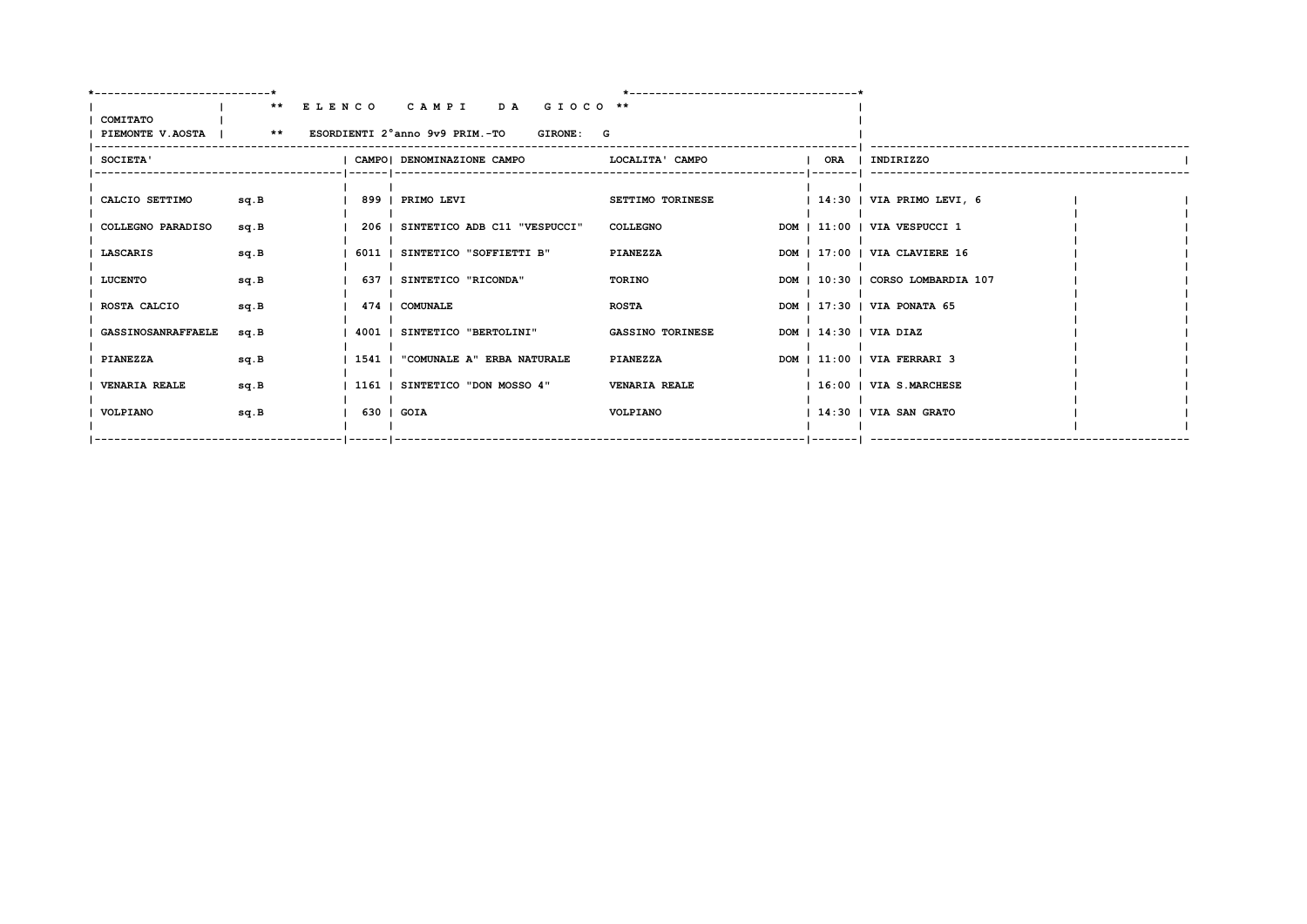|                                                                  |      |                          | ** ELENCO CAMPI DA GIOCO **        |                      |                         |                                   |  |
|------------------------------------------------------------------|------|--------------------------|------------------------------------|----------------------|-------------------------|-----------------------------------|--|
| COMITATO<br>PIEMONTE V.AOSTA   ** ESORDIENTI 2°anno 9v9 PRIM.-TO |      |                          |                                    | GIRONE: G            |                         |                                   |  |
| <b>SOCIETA'</b>                                                  |      |                          | CAMPO  DENOMINAZIONE CAMPO         |                      | LOCALITA' CAMPO         | ORA   INDIRIZZO                   |  |
| CALCIO SETTIMO                                                   | sq.B |                          | 899   PRIMO LEVI                   |                      | <b>SETTIMO TORINESE</b> | $ 14:30 $ VIA PRIMO LEVI, 6       |  |
| COLLEGNO PARADISO                                                | sq.B |                          | 206   SINTETICO ADB C11 "VESPUCCI" | <b>COLLEGNO</b>      |                         | DOM   11:00   VIA VESPUCCI 1      |  |
| LASCARIS                                                         | sq.B |                          | 6011   SINTETICO "SOFFIETTI B"     | <b>PIANEZZA</b>      |                         | DOM   17:00   VIA CLAVIERE 16     |  |
| <b>LUCENTO</b>                                                   | sq.B |                          | 637   SINTETICO "RICONDA"          | TORINO               |                         | DOM   10:30   CORSO LOMBARDIA 107 |  |
| ROSTA CALCIO                                                     | sq.B |                          | 474   COMUNALE                     | <b>ROSTA</b>         |                         | DOM   17:30   VIA PONATA 65       |  |
| <b>GASSINOSANRAFFAELE</b>                                        | sq.B |                          | 4001   SINTETICO "BERTOLINI"       |                      | <b>GASSINO TORINESE</b> | DOM   14:30   VIA DIAZ            |  |
| <b>PIANEZZA</b>                                                  | sq.B |                          | 1541   "COMUNALE A" ERBA NATURALE  | <b>PIANEZZA</b>      |                         | DOM   11:00   VIA FERRARI 3       |  |
| <b>VENARIA REALE</b>                                             | sq.B |                          | 1161   SINTETICO "DON MOSSO 4"     | <b>VENARIA REALE</b> |                         | 16:00   VIA S.MARCHESE            |  |
| VOLPIANO                                                         | sq.B | $\vert$ 630 $\vert$ GOIA |                                    | VOLPIANO             |                         | $1.4:30$   VIA SAN GRATO          |  |
|                                                                  |      |                          |                                    |                      |                         |                                   |  |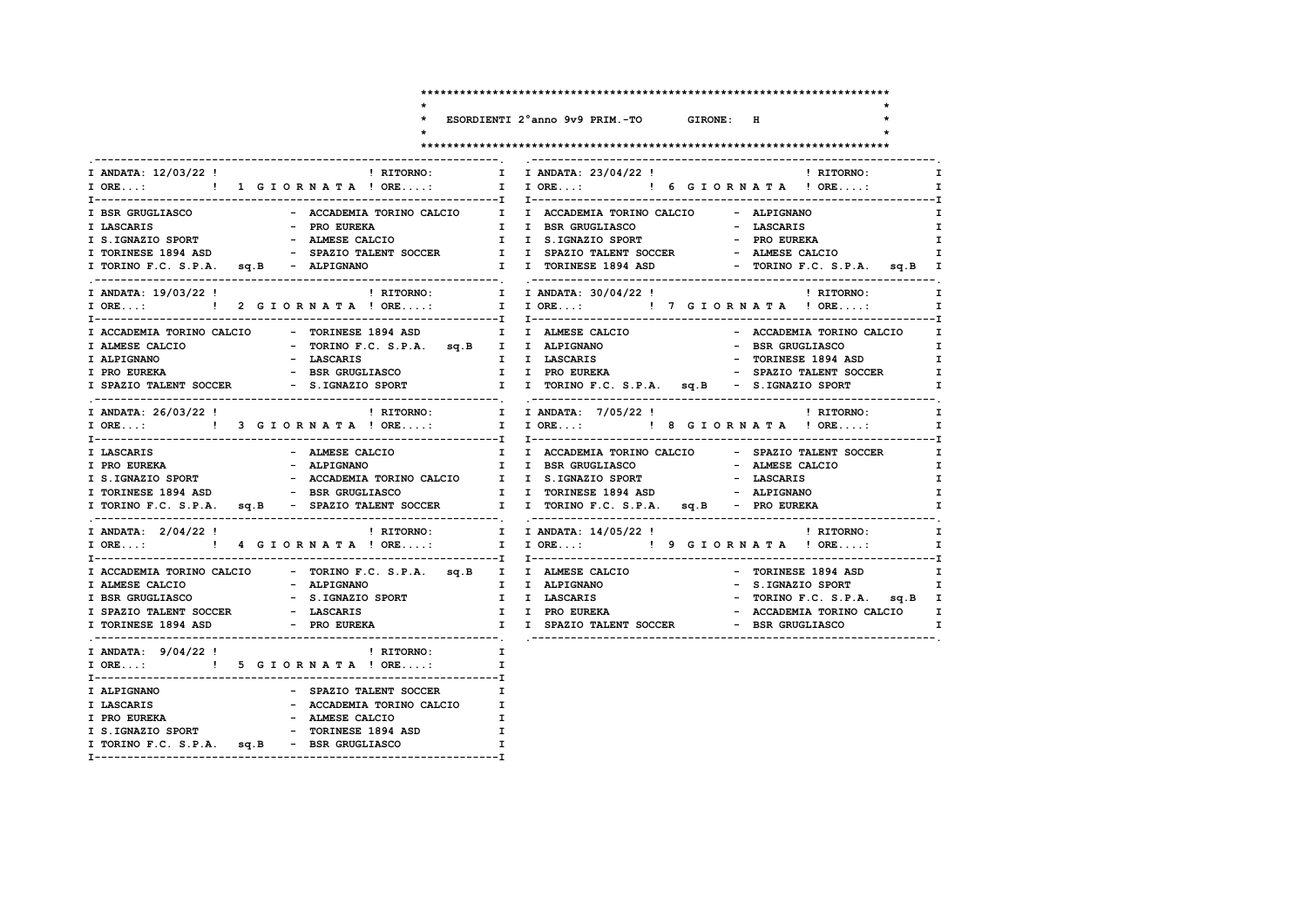$\star$ 

 $\star$ 

 $\star$ 

> $\mathbf{I}$  $\mathbf{I}$  $\mathbf{I}$  $\mathbf{I}$  $\mathbf{I}$

 $\mathbf{T}$  $\mathbf{T}$ 

 $\mathbf{I}$  $\mathbf{I}$  $\mathbf{I}$  $\mathbf{I}$  $\mathbf I$ 

 $\mathbf I$  $\mathbf{T}$  $\mathbf{I}$  $\mathbf{I}$  $\mathbf{I}$ 

 $\mathbf{I}$  $\mathbf{I}$ 

ESORDIENTI 2°anno 9v9 PRIM.-TO

 $\ddot{\phantom{1}}$ 

 $\star$ 

 $\star$ 

### GIRONE: H

|                                            |                                                                 | I ANDATA: 12/03/22 !                                   ! RITORNO:         I I ANDATA: 23/04/22 !                   ! RITORNO:<br>$\mathbf{I}$ |
|--------------------------------------------|-----------------------------------------------------------------|-----------------------------------------------------------------------------------------------------------------------------------------------|
| IORE: !! GIORNATA ! ORE:                   |                                                                 | I I ORE: ! 6 G I ORNATA ! ORE:<br>$\mathbf{I}$                                                                                                |
| I BSR GRUGLIASCO                           |                                                                 | - ACCADEMIA TORINO CALCIO I I ACCADEMIA TORINO CALCIO - ALPIGNANO<br>$\mathbf{I}$                                                             |
| I LASCARIS                                 | - PRO EUREKA                                                    | I I BSR GRUGLIASCO<br>$\mathbf{I}$<br>- LASCARIS                                                                                              |
|                                            |                                                                 | Ι.                                                                                                                                            |
|                                            |                                                                 | $\mathbf{I}$                                                                                                                                  |
| I TORINO F.C. S.P.A. sq.B - ALPIGNANO      |                                                                 | I I TORINESE 1894 ASD<br>- TORINO F.C. S.P.A. sq.B I                                                                                          |
| I ANDATA: 19/03/22 !                       |                                                                 | $\mathbf{I}$                                                                                                                                  |
|                                            |                                                                 | $\mathbf{I}$                                                                                                                                  |
|                                            |                                                                 |                                                                                                                                               |
|                                            | I ACCADEMIA TORINO CALCIO - TORINESE 1894 ASD I I ALMESE CALCIO | - ACCADEMIA TORINO CALCIO I                                                                                                                   |
| I ALMESE CALCIO                            | - TORINO F.C. S.P.A. sq.B I I ALPIGNANO                         | - BSR GRUGLIASCO<br>$\mathbf{I}$                                                                                                              |
| I ALPIGNANO                                | - LASCARIS                                                      | I I LASCARIS CONTRESS OF TORINESE 1894 ASD                                                                                                    |
| I PRO EUREKA                               | - BSR GRUGLIASCO                                                | I I PRO EUREKA<br>- SPAZIO TALENT SOCCER<br>$\mathbf{I}$                                                                                      |
|                                            |                                                                 | I SPAZIO TALENT SOCCER - S.IGNAZIO SPORT I I TORINO F.C. S.P.A. sq.B - S.IGNAZIO SPORT<br>Ι.                                                  |
| I ANDATA: 26/03/22 !                       |                                                                 | ! RITORNO: T I ANDATA: 7/05/22 !<br>$\mathbf{I}$<br>! RITORNO:                                                                                |
|                                            |                                                                 | $\mathbf{I}$                                                                                                                                  |
| I LASCARIS                                 | - ALMESE CALCIO                                                 | I I ACCADEMIA TORINO CALCIO - SPAZIO TALENT SOCCER<br>$\mathbf{I}$                                                                            |
| I PRO EUREKA                               | - ALPIGNANO                                                     | I I BSR GRUGLIASCO CONTROLLER STATES CALCIO<br>$\mathbf{I}$                                                                                   |
|                                            |                                                                 | - LASCARIS<br>$\mathbf{I}$                                                                                                                    |
|                                            |                                                                 | I I TORINESE 1894 ASD - ALPIGNANO<br>$\mathbf{I}$                                                                                             |
|                                            |                                                                 | I TORINO F.C. S.P.A. sq.B - SPAZIO TALENT SOCCER I I TORINO F.C. S.P.A. sq.B - PRO EUREKA<br>$\mathbf{I}$                                     |
| I ANDATA: 2/04/22 !                        |                                                                 | ! RITORNO: T I ANDATA: 14/05/22 !<br><b>EXECUTE:</b> I                                                                                        |
|                                            |                                                                 | I ORE:  1 I ORE: I I ORE: I P G I OR NATA ! ORE: I                                                                                            |
|                                            |                                                                 | I ACCADEMIA TORINO CALCIO - TORINO F.C. S.P.A. sq.B I I ALMESE CALCIO - TORINESE 1894 ASD<br>$\mathbf{I}$                                     |
| I ALMESE CALCIO                            | - ALPIGNANO                                                     | - S.IGNAZIO SPORT<br>$\mathbf{I}$                                                                                                             |
| I BSR GRUGLIASCO                           | $ \overline{S}$ . IGNAZIO SPORT                                 | I I ALPIGNANO<br>I I LASCARIS<br>- TORINO F.C. S.P.A. sq.B I                                                                                  |
| I SPAZIO TALENT SOCCER - LASCARIS          |                                                                 | I I PRO EUREKA<br>- ACCADEMIA TORINO CALCIO I                                                                                                 |
| I TORINESE 1894 ASD                        |                                                                 | - PRO EUREKA                     I  I  SPAZIO TALENT SOCCER               BSR GRUGLIASCO<br>$\mathbf{I}$                                      |
|                                            | I ANDATA: $9/04/22$ ! (RITORNO: I                               |                                                                                                                                               |
| I ORE: ! 5 G I O R N A T A ! ORE:          |                                                                 | T                                                                                                                                             |
| I ALPIGNANO                                | - SPAZIO TALENT SOCCER                                          | $\mathbf I$                                                                                                                                   |
| I LASCARIS                                 | - ACCADEMIA TORINO CALCIO I                                     |                                                                                                                                               |
| I PRO EUREKA - ALMESE CALCIO               |                                                                 | $\mathbf{I}$                                                                                                                                  |
| I S.IGNAZIO SPORT                          | - TORINESE 1894 ASD I                                           |                                                                                                                                               |
| I TORINO F.C. S.P.A. sq.B - BSR GRUGLIASCO |                                                                 | $\mathbf{I}$                                                                                                                                  |
|                                            |                                                                 |                                                                                                                                               |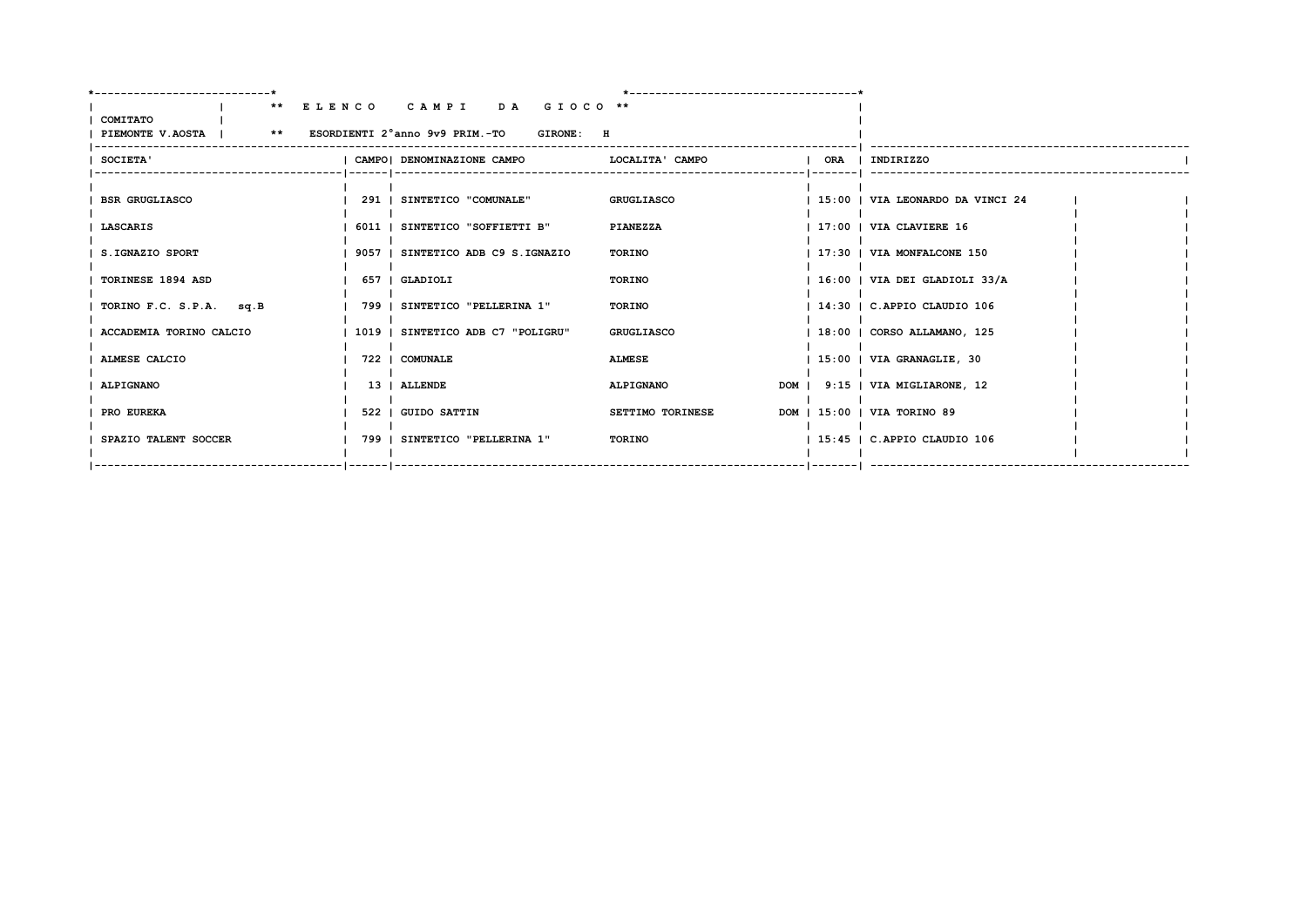| COMITATO<br>PIEMONTE V.AOSTA   ** ESORDIENTI 2°anno 9v9 PRIM.-TO GIRONE: H | ** ELENCO CAMPI DA GIOCO **       |                   |  |                                       |  |
|----------------------------------------------------------------------------|-----------------------------------|-------------------|--|---------------------------------------|--|
| SOCIETA'                                                                   | I CAMPOI DENOMINAZIONE CAMPO      | LOCALITA' CAMPO   |  | ORA   INDIRIZZO                       |  |
| <b>BSR GRUGLIASCO</b>                                                      | 291   SINTETICO "COMUNALE"        | <b>GRUGLIASCO</b> |  | 15:00   VIA LEONARDO DA VINCI 24      |  |
| <b>LASCARIS</b>                                                            | 6011   SINTETICO "SOFFIETTI B"    | PIANEZZA          |  | $\vert$ 17:00 $\vert$ VIA CLAVIERE 16 |  |
| S.IGNAZIO SPORT                                                            | 9057   SINTETICO ADB C9 S.IGNAZIO | TORINO            |  | 17:30   VIA MONFALCONE 150            |  |
| TORINESE 1894 ASD                                                          | 657   GLADIOLI                    | TORINO            |  | 16:00   VIA DEI GLADIOLI 33/A         |  |
| TORINO F.C. S.P.A. sq.B                                                    | 799   SINTETICO "PELLERINA 1"     | TORINO            |  | 14:30   C.APPIO CLAUDIO 106           |  |
| ACCADEMIA TORINO CALCIO                                                    | 1019   SINTETICO ADB C7 "POLIGRU" | <b>GRUGLIASCO</b> |  | 18:00   CORSO ALLAMANO, 125           |  |
| ALMESE CALCIO                                                              | 722   COMUNALE                    | <b>ALMESE</b>     |  | 15:00   VIA GRANAGLIE, 30             |  |
| <b>ALPIGNANO</b>                                                           | 13   ALLENDE                      | <b>ALPIGNANO</b>  |  | DOM   9:15   VIA MIGLIARONE, 12       |  |
| PRO EUREKA                                                                 | 522   GUIDO SATTIN                | SETTIMO TORINESE  |  | DOM   15:00   VIA TORINO 89           |  |
| SPAZIO TALENT SOCCER                                                       | 799   SINTETICO "PELLERINA 1"     | TORINO            |  | 15:45   C.APPIO CLAUDIO 106           |  |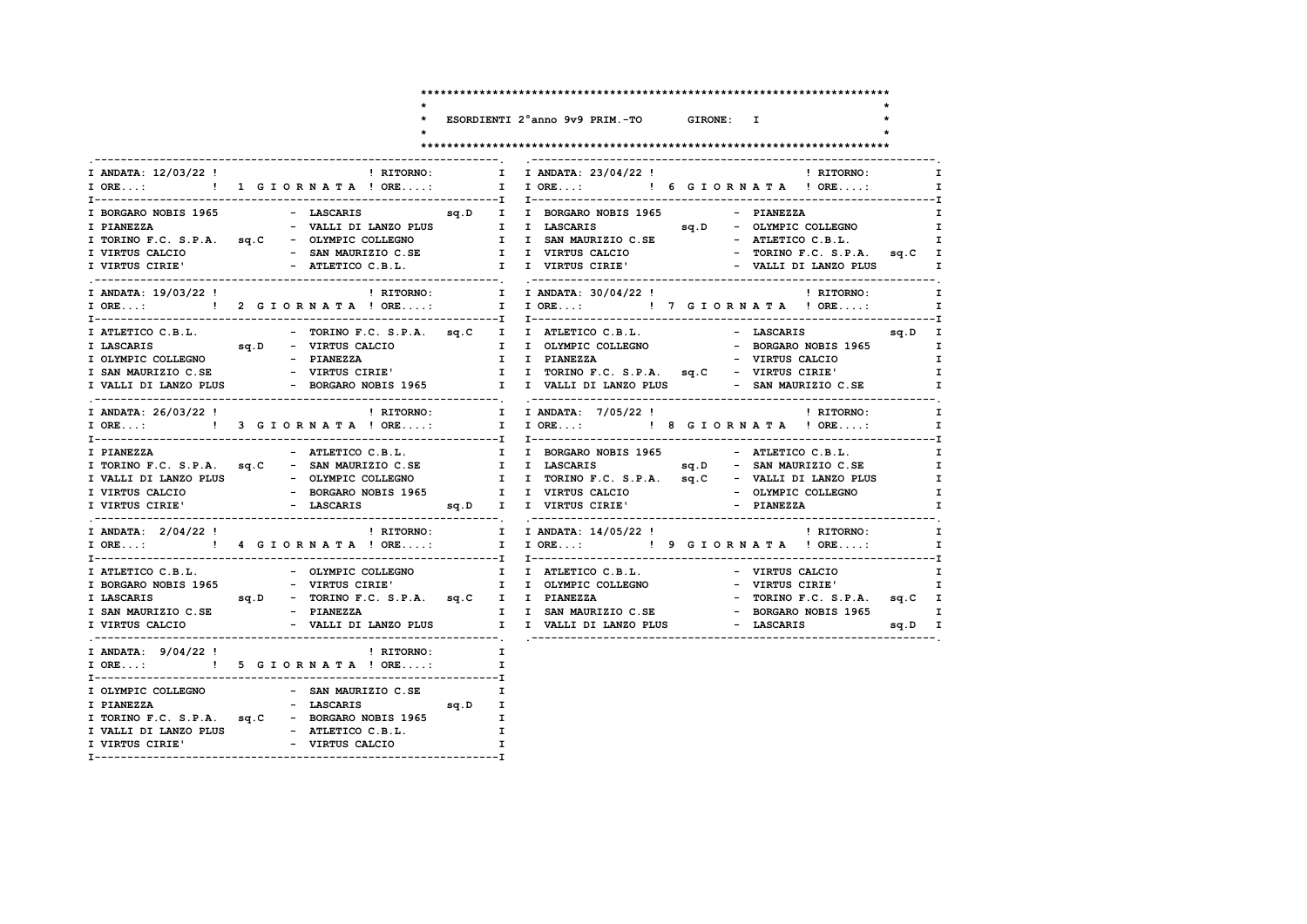$\star$ 

 $\star$  $\star$ 

# \*<br>\* ESORDIENTI 2°anno 9v9 PRIM.-TO GIRONE: I

#### 

| - ------ | -------- | $-1$ | -------- |  |
|----------|----------|------|----------|--|

 $\ddot{\phantom{1}}$ 

 $\star$ 

| I ORE:  1 G I O I O I OR I ORE: I I ORE: I G G I O R N A T A ! ORE:                                                                                                                                                                                                                                                                                                           |           |
|-------------------------------------------------------------------------------------------------------------------------------------------------------------------------------------------------------------------------------------------------------------------------------------------------------------------------------------------------------------------------------|-----------|
| I BORGARO NOBIS 1965 - LASCARIS 9q.D I I BORGARO NOBIS 1965 - PIANEZZA<br>- VALLI DI LANZO PLUS I I LASCARIS Sq.D - OLYMPIC COLLEGNO<br>I PIANEZZA                                                                                                                                                                                                                            |           |
| I ANDATA: 19/03/22 !<br>I ANDATA: 30/04/22 !<br>I ANDATA: 30/04/22 !<br>I RITORNO:<br>I ORE: !! 2 GIORNATA ! ORE: I I ORE: !! 7 GIORNATA ! ORE:                                                                                                                                                                                                                               |           |
| I LASCARIS 5q.D - VIRTUS CALCIO 1 I OLYMPIC COLLEGNO - BORGARO NOBIS 1965<br>I VALLI DI LANZO PLUS - BORGARO NOBIS 1965 I I VALLI DI LANZO PLUS - SAN MAURIZIO C.SE                                                                                                                                                                                                           |           |
| ! RITORNO: I I ANDATA: 7/05/22 !<br>! RITORNO:<br>I ANDATA: 26/03/22 !<br>I ORE: ! 3 G I O R N A T A ! ORE: I I ORE: ! 8 G I O R N A T A ! ORE:                                                                                                                                                                                                                               |           |
| - ATLETICO C.B.L.             I   I  BORGARO NOBIS 1965                 ATLETICO C.B.L.<br>I PIANEZZA<br>I TORINO F.C. S.P.A. sq.C - SAN MAURIZIO C.SE I I LASCARIS Sq.D - SAN MAURIZIO C.SE<br>I VALLI DI LANZO PLUS - OLYMPIC COLLEGNO<br>I VIRTUS CALCIO - BORGARO NOBIS 1965<br>I I TORINO F.C. S.P.A. sq.C - VALLI DI LANZO PLUS<br>I I VIRTUS CALCIO - OLYMPIC COLLEGNO |           |
| $\blacksquare$ RITORNO: I I ANDATA: $14/05/22$ ! $\blacksquare$ I RITORNO:<br>I ANDATA: $2/04/22$ !<br>I ORE:  1 I ORE:  1 I ORE:  1 I ORE  1 I ORE  1 I ORE  1 I ORE  1 I ORE  1 I ORE  1 I ORE  1 I ORE  1 I ORE  1 I ORE                                                                                                                                                   |           |
| I ATLETICO C.B.L. - OLYMPIC COLLEGNO<br>I I ATLETICO C.B.L. - VIRTUS CALCIO<br>I BORGARO NOBIS 1965 - VIRTUS CIRIE' I I OLYMPIC COLLEGNO - VIRTUS CIRIE'<br>ILASCARIS sq.D - TORINO F.C. S.P.A. sq.C I I PIANEZZA - TORINO F.C. S.P.A. sq.C<br>I SAN MAURIZIO C.SE - PIANEZZA I I SAN MAURIZIO C.SE - BORGARO NOBIS 1965                                                      | ı<br>sq.D |
| I ANDATA: $9/04/22$ !<br>! RITORNO:<br>$\mathbf{I}$<br>I ORE: ! 5 G I OR N A T A ! ORE:<br>$\mathbf{I}$                                                                                                                                                                                                                                                                       |           |
| I OLYMPIC COLLEGNO - SAN MAURIZIO C.SE<br>I<br>I PIANEZZA<br>- LASCARIS 9q.D I<br>I TORINO F.C. S.P.A. sq.C - BORGARO NOBIS 1965 I<br>I VALLI DI LANZO PLUS - ATLETICO C.B.L.<br>I VIRTUS CIRIE' - VIRTUS CALCIO<br>$\mathbf{I}$<br>$\mathbf{I}$                                                                                                                              |           |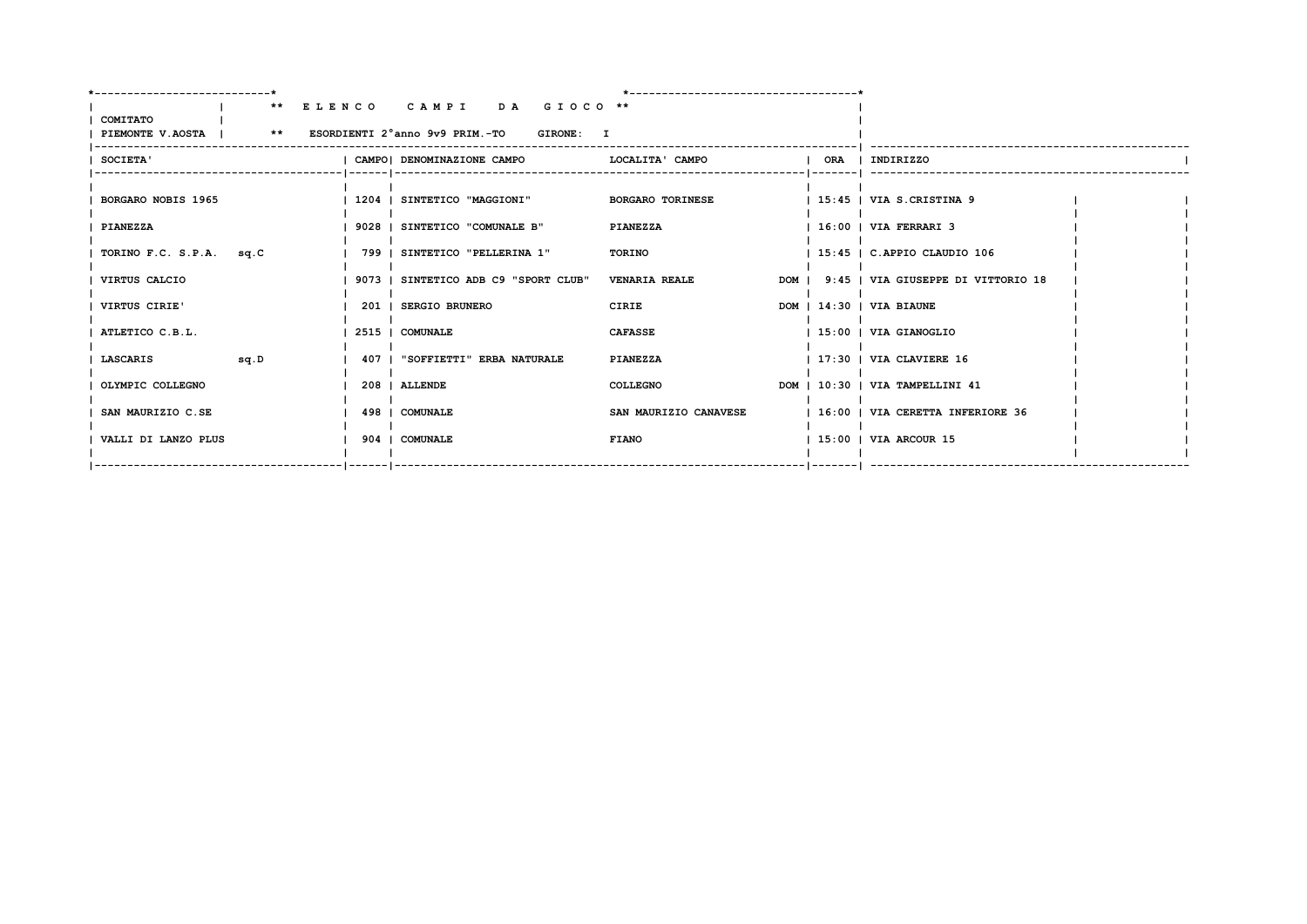| ________________________                                                   |                                      |                         |  |                                          |  |
|----------------------------------------------------------------------------|--------------------------------------|-------------------------|--|------------------------------------------|--|
| COMITATO<br>PIEMONTE V.AOSTA   ** ESORDIENTI 2°anno 9v9 PRIM.-TO GIRONE: I | ** ELENCO CAMPI DA GIOCO **          |                         |  |                                          |  |
| SOCIETA'                                                                   | I CAMPOI DENOMINAZIONE CAMPO         | LOCALITA' CAMPO         |  | ORA   INDIRIZZO                          |  |
| BORGARO NOBIS 1965                                                         | 1204   SINTETICO "MAGGIONI"          | <b>BORGARO TORINESE</b> |  | $\vert$ 15:45 $\vert$ VIA S.CRISTINA 9   |  |
| PIANEZZA                                                                   | 9028   SINTETICO "COMUNALE B"        | <b>PIANEZZA</b>         |  | 16:00   VIA FERRARI 3                    |  |
| TORINO F.C. S.P.A. sq.C                                                    | 799   SINTETICO "PELLERINA 1"        | TORINO                  |  | 15:45   C.APPIO CLAUDIO 106              |  |
| VIRTUS CALCIO                                                              | 9073   SINTETICO ADB C9 "SPORT CLUB" | <b>VENARIA REALE</b>    |  | DOM   9:45   VIA GIUSEPPE DI VITTORIO 18 |  |
| VIRTUS CIRIE'                                                              | 201   SERGIO BRUNERO                 | <b>CIRIE</b>            |  | DOM   14:30   VIA BIAUNE                 |  |
| ATLETICO C.B.L.                                                            | 2515   COMUNALE                      | <b>CAFASSE</b>          |  | 15:00   VIA GIANOGLIO                    |  |
| <b>SQ.D</b><br>LASCARIS                                                    | 407   "SOFFIETTI" ERBA NATURALE      | <b>PIANEZZA</b>         |  | 17:30   VIA CLAVIERE 16                  |  |
| OLYMPIC COLLEGNO                                                           | 208   ALLENDE                        | <b>COLLEGNO</b>         |  | DOM   10:30   VIA TAMPELLINI 41          |  |
| SAN MAURIZIO C.SE                                                          | 498   COMUNALE                       | SAN MAURIZIO CANAVESE   |  | 16:00   VIA CERETTA INFERIORE 36         |  |
| VALLI DI LANZO PLUS                                                        | 904   COMUNALE                       | <b>FIANO</b>            |  | 15:00   VIA ARCOUR 15                    |  |
|                                                                            |                                      |                         |  |                                          |  |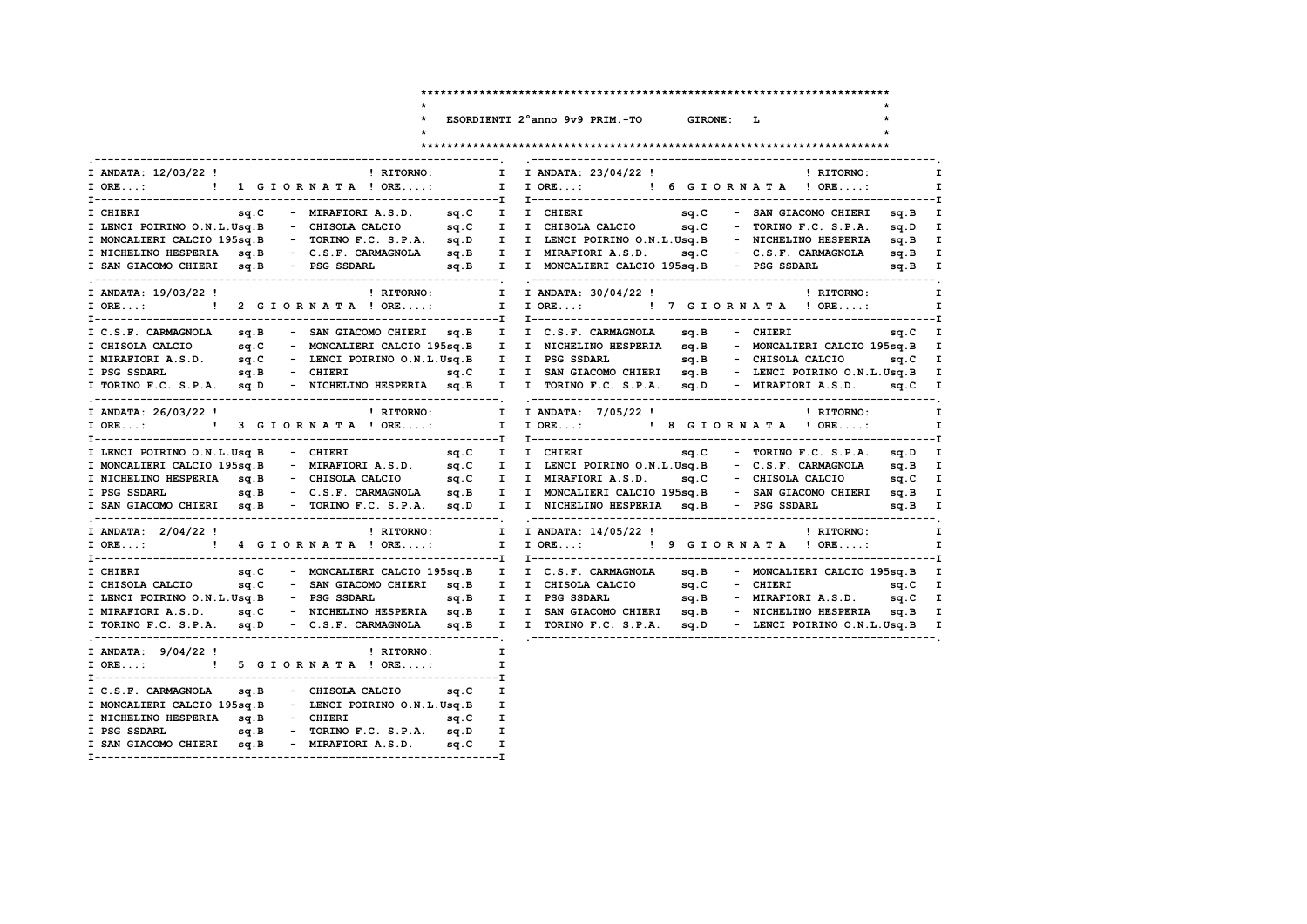$\ddot{\phantom{0}}$  $\star$  $\star$ 

ESORDIENTI 2°anno 9v9 PRIM.-TO GIRONE: L

 $\mathbf{r}$ 

 $\star$ 

| I ANDATA: 12/03/22 !                                                                                            |  | ! RITORNO:   | $\mathbf{I}$ |              | I ANDATA: 23/04/22 !                                                                                                                                                                                                                   |  | <b>Example 18 In the ST PET CORNO:</b> |              |
|-----------------------------------------------------------------------------------------------------------------|--|--------------|--------------|--------------|----------------------------------------------------------------------------------------------------------------------------------------------------------------------------------------------------------------------------------------|--|----------------------------------------|--------------|
| I ORE: ! 1 G I O R N A T A ! ORE:                                                                               |  |              |              |              | I I ORE: ! 6 G I O R N A T A ! ORE:                                                                                                                                                                                                    |  |                                        |              |
|                                                                                                                 |  |              |              |              |                                                                                                                                                                                                                                        |  |                                        |              |
|                                                                                                                 |  |              |              |              |                                                                                                                                                                                                                                        |  |                                        |              |
|                                                                                                                 |  |              |              |              | I MONCALIERI CALCIO 195sq.B - TORINO F.C. S.P.A. sq.D I I LENCI POIRINO O.N.L.Usq.B - NICHELINO HESPERIA sq.B I                                                                                                                        |  |                                        |              |
|                                                                                                                 |  |              |              |              | I NICHELINO HESPERIA sq.B - C.S.F. CARMAGNOLA sq.B I I MIRAFIORI A.S.D. sq.C - C.S.F. CARMAGNOLA sq.B I                                                                                                                                |  |                                        |              |
|                                                                                                                 |  |              |              |              | I SAN GIACOMO CHIERI sq.B - PSG SSDARL sq.B I I MONCALIERI CALCIO 195sq.B - PSG SSDARL sq.B I                                                                                                                                          |  |                                        |              |
| I ANDATA: 19/03/22 !                                                                                            |  | ! RITORNO:   |              | $\mathbf{I}$ | I ANDATA: 30/04/22 !                                                                                                                                                                                                                   |  | ! RITORNO:                             |              |
|                                                                                                                 |  |              |              |              | I ORE:  1 I ORE:  1 I ORE:  I I ORE I I ORE  I ORE  I ORE                                                                                                                                                                              |  |                                        | $\mathbf{I}$ |
|                                                                                                                 |  |              |              |              |                                                                                                                                                                                                                                        |  |                                        |              |
|                                                                                                                 |  |              |              |              | I C.S.F. CARMAGNOLA sq.B - SAN GIACOMO CHIERI sq.B I I C.S.F. CARMAGNOLA sq.B - CHIERI sq.C I                                                                                                                                          |  |                                        |              |
|                                                                                                                 |  |              |              |              |                                                                                                                                                                                                                                        |  |                                        |              |
|                                                                                                                 |  |              |              |              |                                                                                                                                                                                                                                        |  |                                        |              |
|                                                                                                                 |  |              |              |              |                                                                                                                                                                                                                                        |  |                                        |              |
|                                                                                                                 |  |              |              |              | T CHISOLA CALCIO (1954).<br>T CHISOLA CALCIO (1954).<br>T MIRAFIORI A.S.D. sq.C – LENCI POIRINO O.N.L.Usq.B I I PSG SSDARL sq.B – CHISOLA CALCIO (1954).<br>I PSG SSDARL sq.B – CHIERI (2000).<br>T TORINO F.C. S.P.A. sq.D – NICHELIN |  |                                        |              |
| I ANDATA: 26/03/22 !                                                                                            |  |              |              |              | ! RITORNO: I I ANDATA: 7/05/22 !                                                                                                                                                                                                       |  | ! RITORNO:                             | $\mathbf{I}$ |
|                                                                                                                 |  |              |              |              |                                                                                                                                                                                                                                        |  |                                        |              |
| I LENCI POIRINO O.N.L.Usq.B - CHIERI                                                                            |  |              |              |              | sq.C I I CHIERI                                                                                                                                                                                                                        |  | sq.C - TORINO F.C. S.P.A. sq.D I       |              |
| I MONCALIERI CALCIO 195sq.B                                                                                     |  |              |              |              | - MIRAFIORI A.S.D. sq.C I I LENCI POIRINO O.N.L.Usq.B - C.S.F. CARMAGNOLA sq.B I                                                                                                                                                       |  |                                        |              |
|                                                                                                                 |  |              |              |              | I NICHELINO HESPERIA sq.B - CHISOLA CALCIO sq.C I I MIRAFIORI A.S.D. sq.C - CHISOLA CALCIO sq.C I                                                                                                                                      |  |                                        |              |
|                                                                                                                 |  |              |              |              | I PSG SSDARL SQ.B - C.S.F. CARMAGNOLA sq.B I I MONCALIERI CALCIO 195sq.B - SAN GIACOMO CHIERI sq.B I                                                                                                                                   |  |                                        |              |
| I SAN GIACOMO CHIERI sq.B - TORINO F.C. S.P.A. sq.D I                                                           |  |              |              |              | I NICHELINO HESPERIA sq.B - PSG SSDARL sq.B I                                                                                                                                                                                          |  |                                        |              |
| I ANDATA: 2/04/22 !                                                                                             |  | ! RITORNO: I |              |              | I ANDATA: 14/05/22 ! PRITORNO:                                                                                                                                                                                                         |  |                                        | $\mathbf{I}$ |
|                                                                                                                 |  |              |              |              | I ORE:  1 I ORE: I JORE: I JORE: I P GIORNATA ! ORE: I                                                                                                                                                                                 |  |                                        |              |
| I CHIERI                                                                                                        |  |              |              |              | sq.C - MONCALIERI CALCIO 195sq.B II C.S.F. CARMAGNOLA sq.B - MONCALIERI CALCIO 195sq.B I                                                                                                                                               |  |                                        |              |
|                                                                                                                 |  |              |              |              |                                                                                                                                                                                                                                        |  |                                        |              |
|                                                                                                                 |  |              |              |              | I CHISOLA CALCIO sq.C - SAN GIACOMO CHIERI sq.B I I CHISOLA CALCIO sq.C - CHIERI sq.C sq.C I I LENCI POIRINO O.N.L.Usq.B - PSG SSDARL sq.B I I PSG SSDARL sq.B - MIRAFIORI A.S.D. sq.C I                                               |  |                                        |              |
|                                                                                                                 |  |              |              |              | I MIRAFIORI A.S.D. sq.C - NICHELINO HESPERIA sq.B I I SAN GIACOMO CHIERI sq.B - NICHELINO HESPERIA sq.B I                                                                                                                              |  |                                        |              |
| I TORINO F.C. S.P.A. sq.D - C.S.F. CARMAGNOLA sq.B                                                              |  |              |              |              | I I TORINO F.C. S.P.A. sq.D                                                                                                                                                                                                            |  | - LENCI POIRINO O.N.L.Usq.B I          |              |
| I ANDATA: 9/04/22! The state of the state of the state of the state of the state of the state of the state of t |  |              |              | I            |                                                                                                                                                                                                                                        |  |                                        |              |
| I ORE: ! 5 G I O R N A T A ! ORE:                                                                               |  |              |              | $\mathbf{I}$ |                                                                                                                                                                                                                                        |  |                                        |              |
| I C.S.F. CARMAGNOLA sq.B - CHISOLA CALCIO sq.C                                                                  |  |              |              | $\mathbf{I}$ |                                                                                                                                                                                                                                        |  |                                        |              |
| I MONCALIERI CALCIO 195sq.B - LENCI POIRINO O.N.L.Usq.B I                                                       |  |              |              |              |                                                                                                                                                                                                                                        |  |                                        |              |
| I NICHELINO HESPERIA sq.B - CHIERI 9q.C I                                                                       |  |              |              |              |                                                                                                                                                                                                                                        |  |                                        |              |
| I PSG SSDARL sq.B - TORINO F.C. S.P.A. sq.D I                                                                   |  |              |              |              |                                                                                                                                                                                                                                        |  |                                        |              |
| I SAN GIACOMO CHIERI sq. B - MIRAFIORI A.S.D. sq. C I                                                           |  |              |              |              |                                                                                                                                                                                                                                        |  |                                        |              |
|                                                                                                                 |  |              |              |              |                                                                                                                                                                                                                                        |  |                                        |              |